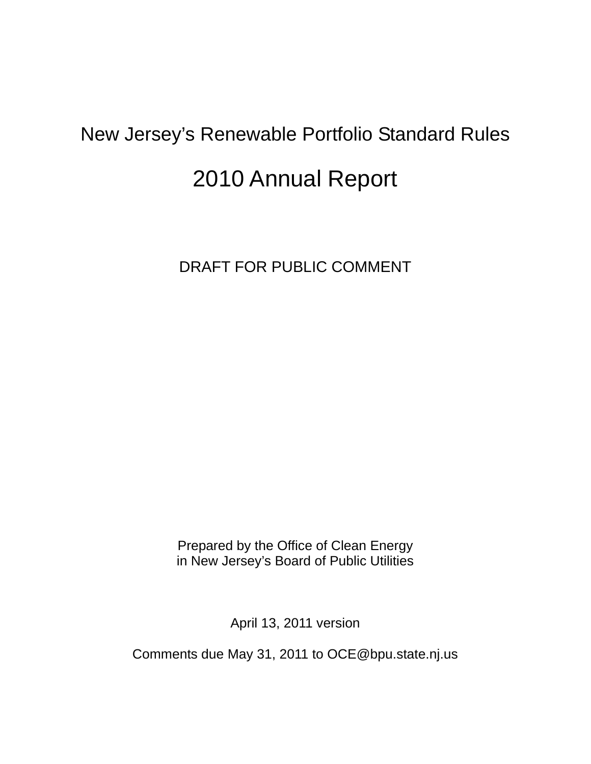# New Jersey's Renewable Portfolio Standard Rules

# 2010 Annual Report

DRAFT FOR PUBLIC COMMENT

Prepared by the Office of Clean Energy in New Jersey's Board of Public Utilities

April 13, 2011 version

Comments due May 31, 2011 to OCE@bpu.state.nj.us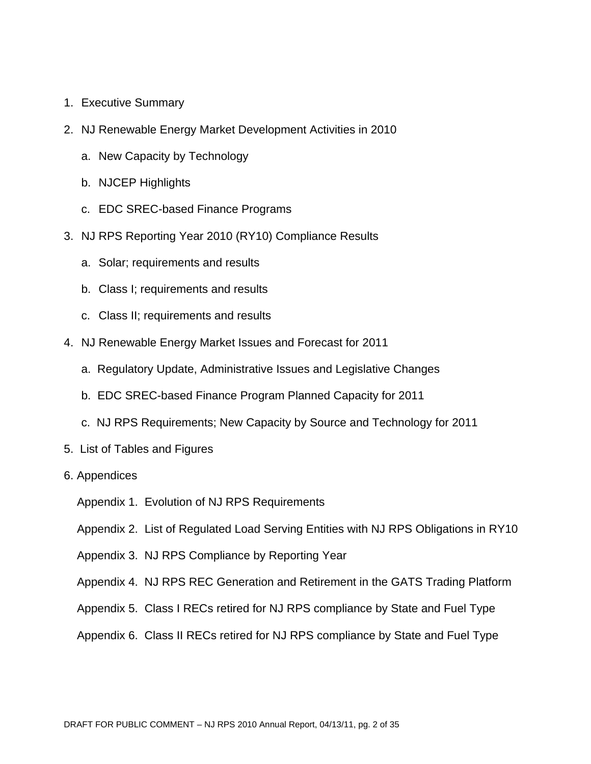- 1. Executive Summary
- 2. NJ Renewable Energy Market Development Activities in 2010
	- a. New Capacity by Technology
	- b. NJCEP Highlights
	- c. EDC SREC-based Finance Programs
- 3. NJ RPS Reporting Year 2010 (RY10) Compliance Results
	- a. Solar; requirements and results
	- b. Class I; requirements and results
	- c. Class II; requirements and results
- 4. NJ Renewable Energy Market Issues and Forecast for 2011
	- a. Regulatory Update, Administrative Issues and Legislative Changes
	- b. EDC SREC-based Finance Program Planned Capacity for 2011
	- c. NJ RPS Requirements; New Capacity by Source and Technology for 2011
- 5. List of Tables and Figures
- 6. Appendices
	- Appendix 1. Evolution of NJ RPS Requirements
	- Appendix 2. List of Regulated Load Serving Entities with NJ RPS Obligations in RY10
	- Appendix 3. NJ RPS Compliance by Reporting Year
	- Appendix 4. NJ RPS REC Generation and Retirement in the GATS Trading Platform
	- Appendix 5. Class I RECs retired for NJ RPS compliance by State and Fuel Type
	- Appendix 6. Class II RECs retired for NJ RPS compliance by State and Fuel Type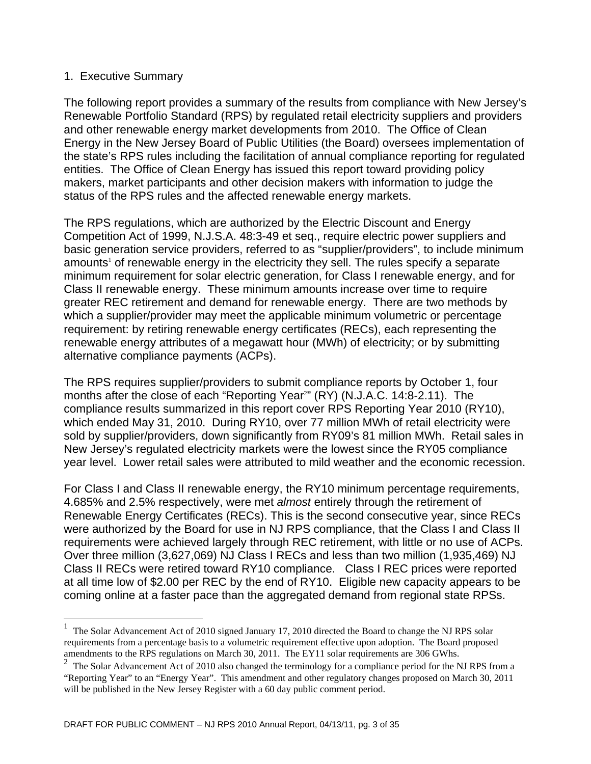#### 1. Executive Summary

1

The following report provides a summary of the results from compliance with New Jersey's Renewable Portfolio Standard (RPS) by regulated retail electricity suppliers and providers and other renewable energy market developments from 2010. The Office of Clean Energy in the New Jersey Board of Public Utilities (the Board) oversees implementation of the state's RPS rules including the facilitation of annual compliance reporting for regulated entities. The Office of Clean Energy has issued this report toward providing policy makers, market participants and other decision makers with information to judge the status of the RPS rules and the affected renewable energy markets.

The RPS regulations, which are authorized by the Electric Discount and Energy Competition Act of 1999, N.J.S.A. 48:3-49 et seq., require electric power suppliers and basic generation service providers, referred to as "supplier/providers", to include minimum amounts<sup>1</sup> of renewable energy in the electricity they sell. The rules specify a separate minimum requirement for solar electric generation, for Class I renewable energy, and for Class II renewable energy. These minimum amounts increase over time to require greater REC retirement and demand for renewable energy. There are two methods by which a supplier/provider may meet the applicable minimum volumetric or percentage requirement: by retiring renewable energy certificates (RECs), each representing the renewable energy attributes of a megawatt hour (MWh) of electricity; or by submitting alternative compliance payments (ACPs).

The RPS requires supplier/providers to submit compliance reports by October 1, four months after the close of each "Reporting Year?" (RY) (N.J.A.C. 14:8-2.11). The compliance results summarized in this report cover RPS Reporting Year 2010 (RY10), which ended May 31, 2010. During RY10, over 77 million MWh of retail electricity were sold by supplier/providers, down significantly from RY09's 81 million MWh. Retail sales in New Jersey's regulated electricity markets were the lowest since the RY05 compliance year level. Lower retail sales were attributed to mild weather and the economic recession.

For Class I and Class II renewable energy, the RY10 minimum percentage requirements, 4.685% and 2.5% respectively, were met *almost* entirely through the retirement of Renewable Energy Certificates (RECs). This is the second consecutive year, since RECs were authorized by the Board for use in NJ RPS compliance, that the Class I and Class II requirements were achieved largely through REC retirement, with little or no use of ACPs. Over three million (3,627,069) NJ Class I RECs and less than two million (1,935,469) NJ Class II RECs were retired toward RY10 compliance. Class I REC prices were reported at all time low of \$2.00 per REC by the end of RY10. Eligible new capacity appears to be coming online at a faster pace than the aggregated demand from regional state RPSs.

<sup>1</sup> The Solar Advancement Act of 2010 signed January 17, 2010 directed the Board to change the NJ RPS solar requirements from a percentage basis to a volumetric requirement effective upon adoption. The Board proposed amendments to the RPS regulations on March 30, 2011. The EY11 solar requirements are 306 GWhs.<br><sup>2</sup> The Solar Advancement Act of 2010 also changed the terminology for a compliance period for the N

<sup>2</sup> The Solar Advancement Act of 2010 also changed the terminology for a compliance period for the NJ RPS from a "Reporting Year" to an "Energy Year". This amendment and other regulatory changes proposed on March 30, 2011 will be published in the New Jersey Register with a 60 day public comment period.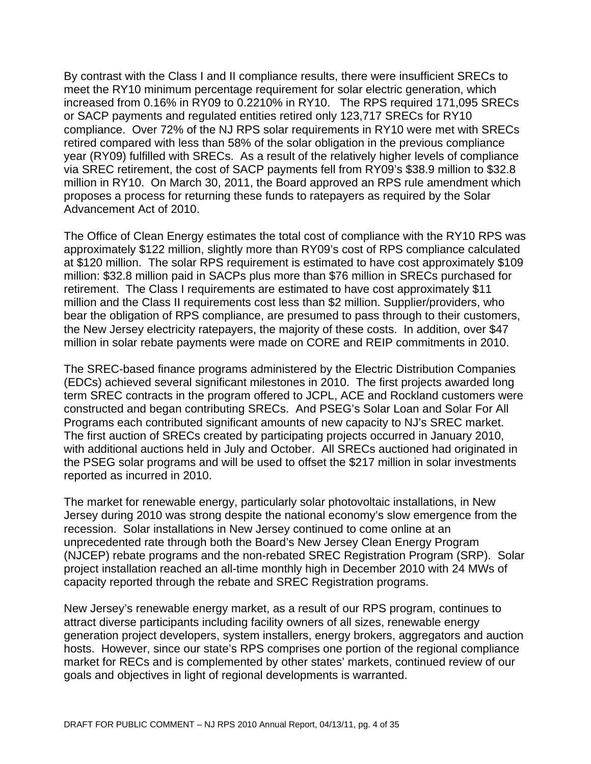By contrast with the Class I and II compliance results, there were insufficient SRECs to meet the RY10 minimum percentage requirement for solar electric generation, which increased from 0.16% in RY09 to 0.2210% in RY10. The RPS required 171,095 SRECs or SACP payments and regulated entities retired only 123,717 SRECs for RY10 compliance. Over 72% of the NJ RPS solar requirements in RY10 were met with SRECs retired compared with less than 58% of the solar obligation in the previous compliance year (RY09) fulfilled with SRECs. As a result of the relatively higher levels of compliance via SREC retirement, the cost of SACP payments fell from RY09's \$38.9 million to \$32.8 million in RY10. On March 30, 2011, the Board approved an RPS rule amendment which proposes a process for returning these funds to ratepayers as required by the Solar Advancement Act of 2010.

The Office of Clean Energy estimates the total cost of compliance with the RY10 RPS was approximately \$122 million, slightly more than RY09's cost of RPS compliance calculated at \$120 million. The solar RPS requirement is estimated to have cost approximately \$109 million: \$32.8 million paid in SACPs plus more than \$76 million in SRECs purchased for retirement. The Class I requirements are estimated to have cost approximately \$11 million and the Class II requirements cost less than \$2 million. Supplier/providers, who bear the obligation of RPS compliance, are presumed to pass through to their customers, the New Jersey electricity ratepayers, the majority of these costs. In addition, over \$47 million in solar rebate payments were made on CORE and REIP commitments in 2010.

The SREC-based finance programs administered by the Electric Distribution Companies (EDCs) achieved several significant milestones in 2010. The first projects awarded long term SREC contracts in the program offered to JCPL, ACE and Rockland customers were constructed and began contributing SRECs. And PSEG's Solar Loan and Solar For All Programs each contributed significant amounts of new capacity to NJ's SREC market. The first auction of SRECs created by participating projects occurred in January 2010, with additional auctions held in July and October. All SRECs auctioned had originated in the PSEG solar programs and will be used to offset the \$217 million in solar investments reported as incurred in 2010.

The market for renewable energy, particularly solar photovoltaic installations, in New Jersey during 2010 was strong despite the national economy's slow emergence from the recession. Solar installations in New Jersey continued to come online at an unprecedented rate through both the Board's New Jersey Clean Energy Program (NJCEP) rebate programs and the non-rebated SREC Registration Program (SRP). Solar project installation reached an all-time monthly high in December 2010 with 24 MWs of capacity reported through the rebate and SREC Registration programs.

New Jersey's renewable energy market, as a result of our RPS program, continues to attract diverse participants including facility owners of all sizes, renewable energy generation project developers, system installers, energy brokers, aggregators and auction hosts. However, since our state's RPS comprises one portion of the regional compliance market for RECs and is complemented by other states' markets, continued review of our goals and objectives in light of regional developments is warranted.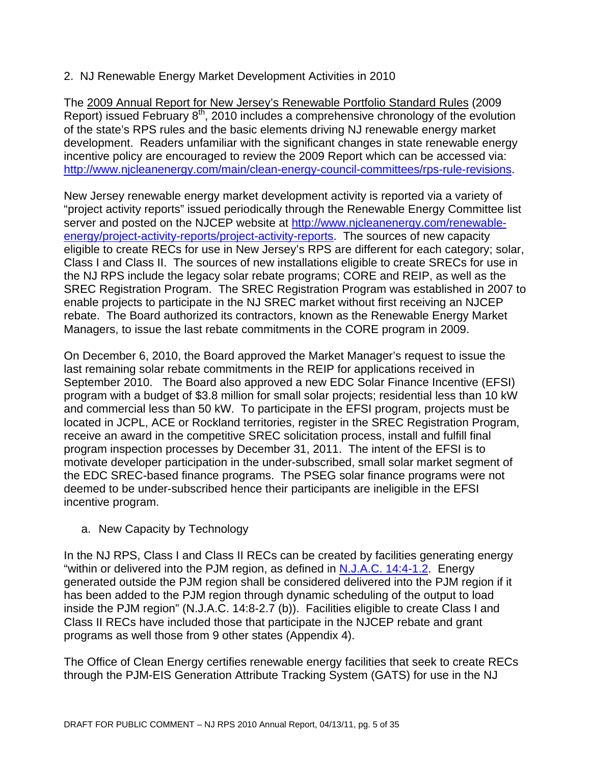### 2. NJ Renewable Energy Market Development Activities in 2010

The 2009 Annual Report for New Jersey's Renewable Portfolio Standard Rules (2009 Report) issued February  $8<sup>th</sup>$ , 2010 includes a comprehensive chronology of the evolution of the state's RPS rules and the basic elements driving NJ renewable energy market development. Readers unfamiliar with the significant changes in state renewable energy incentive policy are encouraged to review the 2009 Report which can be accessed via: http://www.njcleanenergy.com/main/clean-energy-council-committees/rps-rule-revisions.

New Jersey renewable energy market development activity is reported via a variety of "project activity reports" issued periodically through the Renewable Energy Committee list server and posted on the NJCEP website at http://www.njcleanenergy.com/renewableenergy/project-activity-reports/project-activity-reports. The sources of new capacity eligible to create RECs for use in New Jersey's RPS are different for each category; solar, Class I and Class II. The sources of new installations eligible to create SRECs for use in the NJ RPS include the legacy solar rebate programs; CORE and REIP, as well as the SREC Registration Program. The SREC Registration Program was established in 2007 to enable projects to participate in the NJ SREC market without first receiving an NJCEP rebate. The Board authorized its contractors, known as the Renewable Energy Market Managers, to issue the last rebate commitments in the CORE program in 2009.

On December 6, 2010, the Board approved the Market Manager's request to issue the last remaining solar rebate commitments in the REIP for applications received in September 2010. The Board also approved a new EDC Solar Finance Incentive (EFSI) program with a budget of \$3.8 million for small solar projects; residential less than 10 kW and commercial less than 50 kW. To participate in the EFSI program, projects must be located in JCPL, ACE or Rockland territories, register in the SREC Registration Program, receive an award in the competitive SREC solicitation process, install and fulfill final program inspection processes by December 31, 2011. The intent of the EFSI is to motivate developer participation in the under-subscribed, small solar market segment of the EDC SREC-based finance programs. The PSEG solar finance programs were not deemed to be under-subscribed hence their participants are ineligible in the EFSI incentive program.

a. New Capacity by Technology

In the NJ RPS, Class I and Class II RECs can be created by facilities generating energy "within or delivered into the PJM region, as defined in **N.J.A.C. 14:4-1.2**. Energy generated outside the PJM region shall be considered delivered into the PJM region if it has been added to the PJM region through dynamic scheduling of the output to load inside the PJM region" (N.J.A.C. 14:8-2.7 (b)). Facilities eligible to create Class I and Class II RECs have included those that participate in the NJCEP rebate and grant programs as well those from 9 other states (Appendix 4).

The Office of Clean Energy certifies renewable energy facilities that seek to create RECs through the PJM-EIS Generation Attribute Tracking System (GATS) for use in the NJ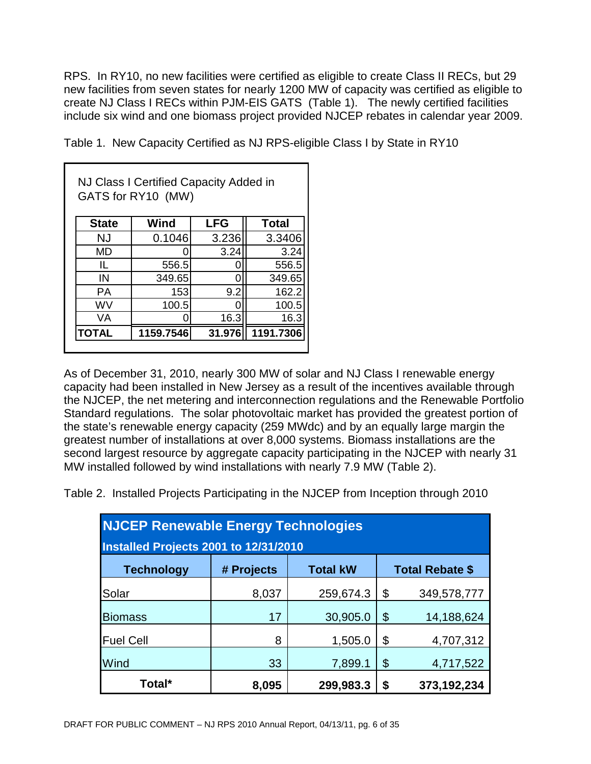RPS. In RY10, no new facilities were certified as eligible to create Class II RECs, but 29 new facilities from seven states for nearly 1200 MW of capacity was certified as eligible to create NJ Class I RECs within PJM-EIS GATS (Table 1). The newly certified facilities include six wind and one biomass project provided NJCEP rebates in calendar year 2009.

Table 1. New Capacity Certified as NJ RPS-eligible Class I by State in RY10

|              | NJ Class I Certified Capacity Added in<br>GATS for RY10 (MW) |            |              |
|--------------|--------------------------------------------------------------|------------|--------------|
| <b>State</b> | Wind                                                         | <b>LFG</b> | <b>Total</b> |
| NJ           | 0.1046                                                       | 3.236      | 3.3406       |
| MD           |                                                              | 3.24       | 3.24         |
| IL           | 556.5                                                        |            | 556.5        |
| IN           | 349.65                                                       |            | 349.65       |
| РA           | 153                                                          | 9.2        | 162.2        |
| wv           | 100.5                                                        |            | 100.5        |
| VA           |                                                              | 16.3       | 16.3         |
| <b>TOTAL</b> | 1159.7546                                                    | 31.976     | 1191.7306    |

As of December 31, 2010, nearly 300 MW of solar and NJ Class I renewable energy capacity had been installed in New Jersey as a result of the incentives available through the NJCEP, the net metering and interconnection regulations and the Renewable Portfolio Standard regulations. The solar photovoltaic market has provided the greatest portion of the state's renewable energy capacity (259 MWdc) and by an equally large margin the greatest number of installations at over 8,000 systems. Biomass installations are the second largest resource by aggregate capacity participating in the NJCEP with nearly 31 MW installed followed by wind installations with nearly 7.9 MW (Table 2).

Table 2. Installed Projects Participating in the NJCEP from Inception through 2010

| <b>NJCEP Renewable Energy Technologies</b> |            |                 |               |                        |
|--------------------------------------------|------------|-----------------|---------------|------------------------|
| Installed Projects 2001 to 12/31/2010      |            |                 |               |                        |
| <b>Technology</b>                          | # Projects | <b>Total kW</b> |               | <b>Total Rebate \$</b> |
| Solar                                      | 8,037      | 259,674.3       | \$            | 349,578,777            |
| <b>Biomass</b>                             | 17         | 30,905.0        | $\mathcal{S}$ | 14,188,624             |
| <b>Fuel Cell</b>                           | 8          | 1,505.0         | \$            | 4,707,312              |
| Wind                                       | 33         | 7,899.1         | \$            | 4,717,522              |
| Total*                                     | 8,095      | 299,983.3       | \$            | 373,192,234            |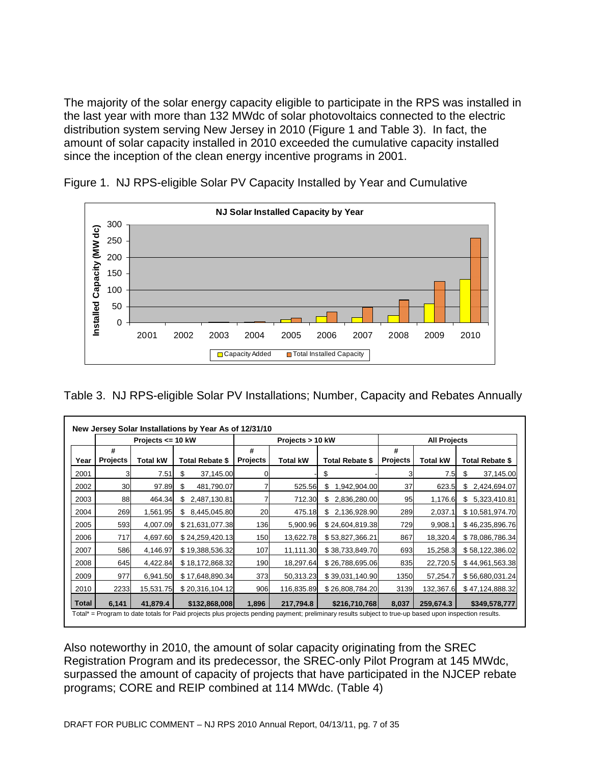The majority of the solar energy capacity eligible to participate in the RPS was installed in the last year with more than 132 MWdc of solar photovoltaics connected to the electric distribution system serving New Jersey in 2010 (Figure 1 and Table 3). In fact, the amount of solar capacity installed in 2010 exceeded the cumulative capacity installed since the inception of the clean energy incentive programs in 2001.



Figure 1. NJ RPS-eligible Solar PV Capacity Installed by Year and Cumulative

Table 3. NJ RPS-eligible Solar PV Installations; Number, Capacity and Rebates Annually

|       |                 | Projects $\leq$ 10 kW |                  |                 | Projects > 10 kW |                        |                 | <b>All Projects</b> |                        |
|-------|-----------------|-----------------------|------------------|-----------------|------------------|------------------------|-----------------|---------------------|------------------------|
|       | #               |                       |                  | #               |                  |                        | #               |                     |                        |
| Year  | <b>Projects</b> | <b>Total kW</b>       | Total Rebate \$  | <b>Projects</b> | Total kW         | <b>Total Rebate \$</b> | <b>Projects</b> | <b>Total kW</b>     | <b>Total Rebate \$</b> |
| 2001  | 31              | 7.51                  | \$<br>37,145.00  |                 |                  | \$                     |                 | 7.5                 | \$<br>37,145.00        |
| 2002  | 30              | 97.89                 | \$<br>481,790.07 |                 | 525.56           | \$<br>1,942,904.00     | 37              | 623.5               | \$<br>2,424,694.07     |
| 2003  | 88              | 464.34                | \$2,487,130.81   |                 | 712.30           | 2,836,280.00<br>\$.    | 95              | 1,176.6             | 5,323,410.81<br>\$     |
| 2004  | 269             | 1,561.95              | \$8,445,045.80   | 20              | 475.18           | \$ 2,136,928.90        | 289             | 2,037.1             | \$10,581,974.70        |
| 2005  | 593             | 4,007.09              | \$21,631,077.38  | 136             | 5,900.96         | \$24,604,819.38        | 729             | 9,908.1             | \$46,235,896.76        |
| 2006  | 717             | 4,697.60              | \$24,259,420.13  | 150             | 13,622.78        | \$53,827,366.21        | 867             | 18,320.4            | \$78,086,786.34        |
| 2007  | 586             | 4,146.97              | \$19,388,536.32  | 107             | 11,111.30        | \$38,733,849.70        | 693             | 15,258.3            | \$58,122,386.02        |
| 2008  | 645             | 4,422.84              | \$18,172,868.32  | 190             | 18,297.64        | \$26,788,695.06        | 835             | 22,720.5            | \$44,961,563.38        |
| 2009  | 977             | 6,941.50              | \$17,648,890.34  | 373             | 50,313.23        | \$39,031,140.90        | 1350            | 57,254.7            | \$56,680,031.24        |
| 2010  | 2233            | 15,531.75             | \$20,316,104.12  | 906             | 116,835.89       | \$26,808,784.20        | 3139            | 132,367.6           | \$47,124,888.32        |
| Total | 6,141           | 41.879.4              | \$132,868,008    | 1,896           | 217,794.8        | \$216,710,768          | 8,037           | 259,674.3           | \$349,578,777          |

Also noteworthy in 2010, the amount of solar capacity originating from the SREC Registration Program and its predecessor, the SREC-only Pilot Program at 145 MWdc, surpassed the amount of capacity of projects that have participated in the NJCEP rebate programs; CORE and REIP combined at 114 MWdc. (Table 4)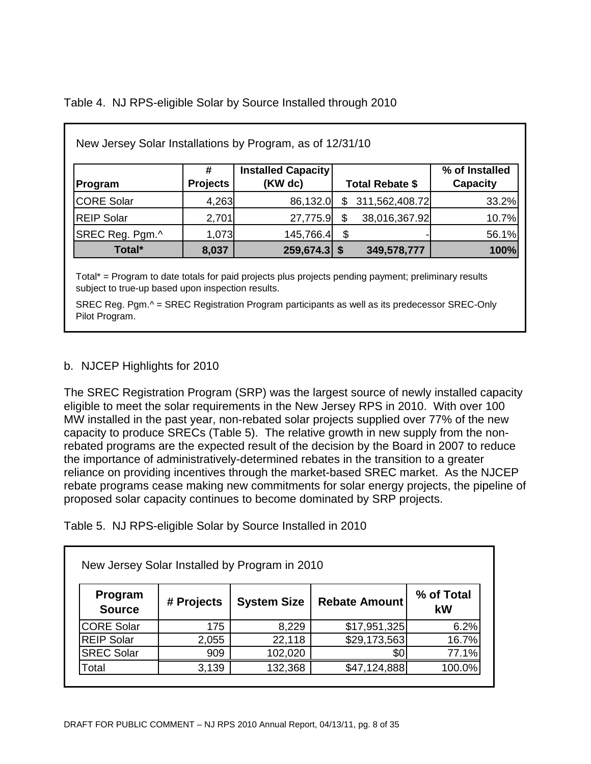Table 4. NJ RPS-eligible Solar by Source Installed through 2010

| New Jersey Solar Installations by Program, as of 12/31/10 |                 |                                      |    |                        |                            |
|-----------------------------------------------------------|-----------------|--------------------------------------|----|------------------------|----------------------------|
| Program                                                   | <b>Projects</b> | <b>Installed Capacity</b><br>(KW dc) |    | <b>Total Rebate \$</b> | % of Installed<br>Capacity |
| CORE Solar                                                | 4,263           | 86,132.0                             | S  | 311,562,408.72         | 33.2%                      |
| <b>REIP Solar</b>                                         | 2,701           | 27,775.9                             |    | 38,016,367.92          | 10.7%                      |
| SREC Reg. Pgm.^                                           | 1,073           | 145,766.4                            | \$ |                        | 56.1%                      |
| Total*                                                    | 8,037           | $259,674.3$ \$                       |    | 349,578,777            | 100%                       |

Total\* = Program to date totals for paid projects plus projects pending payment; preliminary results subject to true-up based upon inspection results.

SREC Reg. Pgm.^ = SREC Registration Program participants as well as its predecessor SREC-Only Pilot Program.

#### b. NJCEP Highlights for 2010

The SREC Registration Program (SRP) was the largest source of newly installed capacity eligible to meet the solar requirements in the New Jersey RPS in 2010. With over 100 MW installed in the past year, non-rebated solar projects supplied over 77% of the new capacity to produce SRECs (Table 5). The relative growth in new supply from the nonrebated programs are the expected result of the decision by the Board in 2007 to reduce the importance of administratively-determined rebates in the transition to a greater reliance on providing incentives through the market-based SREC market. As the NJCEP rebate programs cease making new commitments for solar energy projects, the pipeline of proposed solar capacity continues to become dominated by SRP projects.

Table 5. NJ RPS-eligible Solar by Source Installed in 2010

| Program<br><b>Source</b> | # Projects | <b>System Size</b> | <b>Rebate Amount</b> | % of Total<br>kW |
|--------------------------|------------|--------------------|----------------------|------------------|
| <b>CORE Solar</b>        | 175        | 8,229              | \$17,951,325         | 6.2%             |
| <b>REIP Solar</b>        | 2,055      | 22,118             | \$29,173,563         | 16.7%            |
| <b>SREC Solar</b>        | 909        | 102,020            | \$0                  | 77.1%            |
| Total                    | 3,139      | 132,368            | \$47,124,888         | 100.0%           |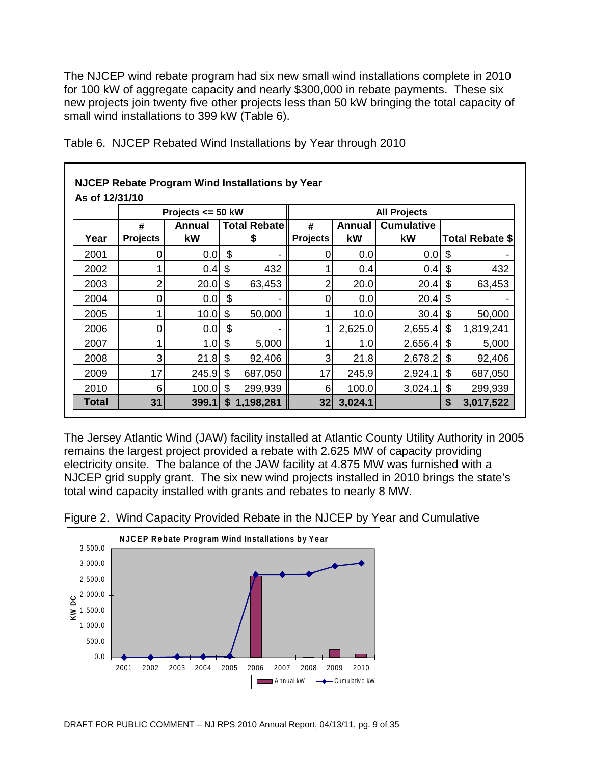The NJCEP wind rebate program had six new small wind installations complete in 2010 for 100 kW of aggregate capacity and nearly \$300,000 in rebate payments. These six new projects join twenty five other projects less than 50 kW bringing the total capacity of small wind installations to 399 kW (Table 6).

|                |                 | <b>NJCEP Rebate Program Wind Installations by Year</b> |     |                     |                 |         |                     |                        |
|----------------|-----------------|--------------------------------------------------------|-----|---------------------|-----------------|---------|---------------------|------------------------|
| As of 12/31/10 |                 |                                                        |     |                     |                 |         |                     |                        |
|                |                 | Projects $\le$ 50 kW                                   |     |                     |                 |         | <b>All Projects</b> |                        |
|                | #               | <b>Annual</b>                                          |     | <b>Total Rebate</b> | #               | Annual  | <b>Cumulative</b>   |                        |
| Year           | <b>Projects</b> | kW                                                     |     | \$                  | <b>Projects</b> | kW      | kW                  | <b>Total Rebate \$</b> |
| 2001           |                 | 0.0                                                    | \$  |                     | 0               | 0.0     | 0.0                 | \$                     |
| 2002           |                 | 0.4                                                    | \$  | 432                 |                 | 0.4     | 0.4                 | \$<br>432              |
| 2003           |                 | 20.0                                                   | -\$ | 63,453              | 2               | 20.0    | 20.4                | \$<br>63,453           |
| 2004           | 0               | $0.0$ \$                                               |     |                     | 0               | 0.0     | 20.4                | \$                     |
| 2005           |                 | 10.0                                                   | \$  | 50,000              |                 | 10.0    | 30.4                | \$<br>50,000           |
| 2006           |                 | 0.0                                                    | \$  |                     |                 | 2,625.0 | 2,655.4             | \$<br>1,819,241        |
| 2007           |                 | $1.0$ \$                                               |     | 5,000               |                 | 1.0     | 2,656.4             | \$<br>5,000            |
| 2008           | 3               | $21.8$ \$                                              |     | 92,406              | 3               | 21.8    | 2,678.2             | \$<br>92,406           |
| 2009           | 17              | 245.9                                                  | \$  | 687,050             | 17              | 245.9   | 2,924.1             | \$<br>687,050          |
| 2010           | 6               | 100.0                                                  | \$  | 299,939             | 6               | 100.0   | 3,024.1             | \$<br>299,939          |
| <b>Total</b>   | 31              | 399.1                                                  |     | \$1,198,281         | 32              | 3,024.1 |                     | \$<br>3,017,522        |

Table 6. NJCEP Rebated Wind Installations by Year through 2010

The Jersey Atlantic Wind (JAW) facility installed at Atlantic County Utility Authority in 2005 remains the largest project provided a rebate with 2.625 MW of capacity providing electricity onsite. The balance of the JAW facility at 4.875 MW was furnished with a NJCEP grid supply grant. The six new wind projects installed in 2010 brings the state's total wind capacity installed with grants and rebates to nearly 8 MW.



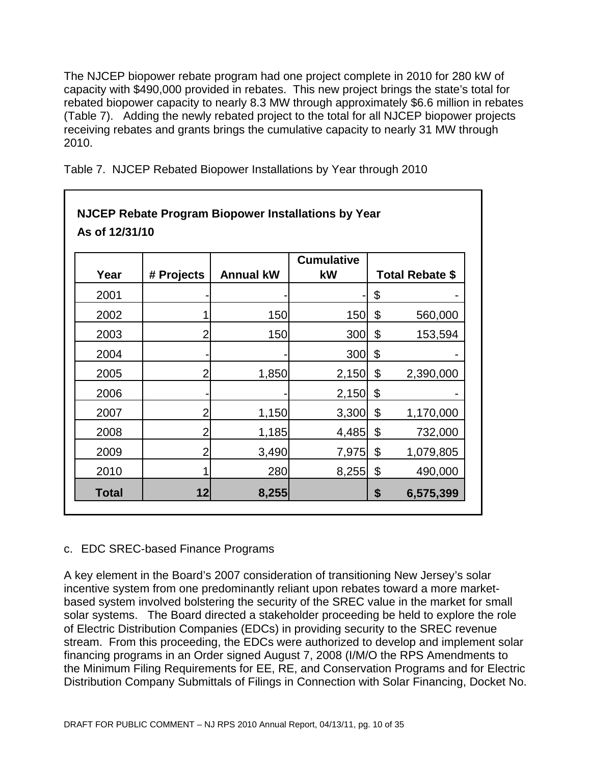The NJCEP biopower rebate program had one project complete in 2010 for 280 kW of capacity with \$490,000 provided in rebates. This new project brings the state's total for rebated biopower capacity to nearly 8.3 MW through approximately \$6.6 million in rebates (Table 7). Adding the newly rebated project to the total for all NJCEP biopower projects receiving rebates and grants brings the cumulative capacity to nearly 31 MW through 2010.

| As of 12/31/10 |                | <b>NJCEP Rebate Program Biopower Installations by Year</b> |                         |                        |
|----------------|----------------|------------------------------------------------------------|-------------------------|------------------------|
| Year           | # Projects     | <b>Annual kW</b>                                           | <b>Cumulative</b><br>kW | <b>Total Rebate \$</b> |
| 2001           |                |                                                            |                         | \$                     |
| 2002           |                | 150                                                        | 150                     | \$<br>560,000          |
| 2003           | 2              | 150                                                        | 300                     | \$<br>153,594          |
| 2004           |                |                                                            | 300                     | \$                     |
| 2005           | 2              | 1,850                                                      | 2,150                   | \$<br>2,390,000        |
| 2006           |                |                                                            | 2,150                   | \$                     |
| 2007           |                | 1,150                                                      | 3,300                   | \$<br>1,170,000        |
| 2008           | 2              | 1,185                                                      | 4,485                   | \$<br>732,000          |
| 2009           | $\overline{2}$ | 3,490                                                      | 7,975                   | \$<br>1,079,805        |
| 2010           |                | 280                                                        | 8,255                   | \$<br>490,000          |
| <b>Total</b>   | 12             | 8,255                                                      |                         | \$<br>6,575,399        |

Table 7. NJCEP Rebated Biopower Installations by Year through 2010

#### c. EDC SREC-based Finance Programs

A key element in the Board's 2007 consideration of transitioning New Jersey's solar incentive system from one predominantly reliant upon rebates toward a more marketbased system involved bolstering the security of the SREC value in the market for small solar systems. The Board directed a stakeholder proceeding be held to explore the role of Electric Distribution Companies (EDCs) in providing security to the SREC revenue stream. From this proceeding, the EDCs were authorized to develop and implement solar financing programs in an Order signed August 7, 2008 (I/M/O the RPS Amendments to the Minimum Filing Requirements for EE, RE, and Conservation Programs and for Electric Distribution Company Submittals of Filings in Connection with Solar Financing, Docket No.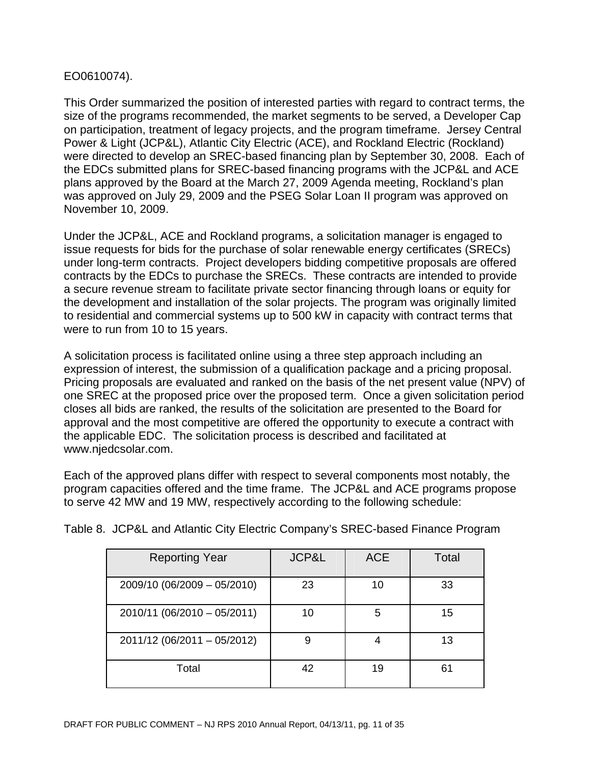#### EO0610074).

This Order summarized the position of interested parties with regard to contract terms, the size of the programs recommended, the market segments to be served, a Developer Cap on participation, treatment of legacy projects, and the program timeframe. Jersey Central Power & Light (JCP&L), Atlantic City Electric (ACE), and Rockland Electric (Rockland) were directed to develop an SREC-based financing plan by September 30, 2008. Each of the EDCs submitted plans for SREC-based financing programs with the JCP&L and ACE plans approved by the Board at the March 27, 2009 Agenda meeting, Rockland's plan was approved on July 29, 2009 and the PSEG Solar Loan II program was approved on November 10, 2009.

Under the JCP&L, ACE and Rockland programs, a solicitation manager is engaged to issue requests for bids for the purchase of solar renewable energy certificates (SRECs) under long-term contracts. Project developers bidding competitive proposals are offered contracts by the EDCs to purchase the SRECs. These contracts are intended to provide a secure revenue stream to facilitate private sector financing through loans or equity for the development and installation of the solar projects. The program was originally limited to residential and commercial systems up to 500 kW in capacity with contract terms that were to run from 10 to 15 years.

A solicitation process is facilitated online using a three step approach including an expression of interest, the submission of a qualification package and a pricing proposal. Pricing proposals are evaluated and ranked on the basis of the net present value (NPV) of one SREC at the proposed price over the proposed term. Once a given solicitation period closes all bids are ranked, the results of the solicitation are presented to the Board for approval and the most competitive are offered the opportunity to execute a contract with the applicable EDC. The solicitation process is described and facilitated at www.njedcsolar.com.

Each of the approved plans differ with respect to several components most notably, the program capacities offered and the time frame. The JCP&L and ACE programs propose to serve 42 MW and 19 MW, respectively according to the following schedule:

| <b>Reporting Year</b>       | JCP&L | <b>ACE</b> | Total |
|-----------------------------|-------|------------|-------|
| 2009/10 (06/2009 - 05/2010) | 23    | 10         | 33    |
| 2010/11 (06/2010 - 05/2011) | 10    | 5          | 15    |
| 2011/12 (06/2011 - 05/2012) | 9     |            | 13    |
| Total                       | 42    | 19         | 61    |

Table 8. JCP&L and Atlantic City Electric Company's SREC-based Finance Program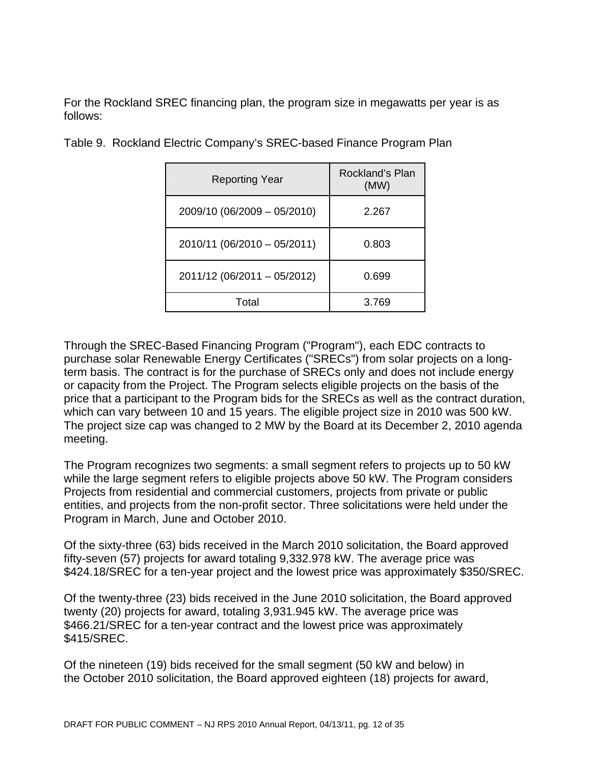For the Rockland SREC financing plan, the program size in megawatts per year is as follows:

| <b>Reporting Year</b>       | Rockland's Plan<br>(MW) |
|-----------------------------|-------------------------|
| 2009/10 (06/2009 - 05/2010) | 2.267                   |
| 2010/11 (06/2010 - 05/2011) | 0.803                   |
| 2011/12 (06/2011 - 05/2012) | 0.699                   |
| Total                       | 3.769                   |

Table 9. Rockland Electric Company's SREC-based Finance Program Plan

Through the SREC-Based Financing Program ("Program"), each EDC contracts to purchase solar Renewable Energy Certificates ("SRECs") from solar projects on a longterm basis. The contract is for the purchase of SRECs only and does not include energy or capacity from the Project. The Program selects eligible projects on the basis of the price that a participant to the Program bids for the SRECs as well as the contract duration, which can vary between 10 and 15 years. The eligible project size in 2010 was 500 kW. The project size cap was changed to 2 MW by the Board at its December 2, 2010 agenda meeting.

The Program recognizes two segments: a small segment refers to projects up to 50 kW while the large segment refers to eligible projects above 50 kW. The Program considers Projects from residential and commercial customers, projects from private or public entities, and projects from the non-profit sector. Three solicitations were held under the Program in March, June and October 2010.

Of the sixty-three (63) bids received in the March 2010 solicitation, the Board approved fifty-seven (57) projects for award totaling 9,332.978 kW. The average price was \$424.18/SREC for a ten-year project and the lowest price was approximately \$350/SREC.

Of the twenty-three (23) bids received in the June 2010 solicitation, the Board approved twenty (20) projects for award, totaling 3,931.945 kW. The average price was \$466.21/SREC for a ten-year contract and the lowest price was approximately \$415/SREC.

Of the nineteen (19) bids received for the small segment (50 kW and below) in the October 2010 solicitation, the Board approved eighteen (18) projects for award,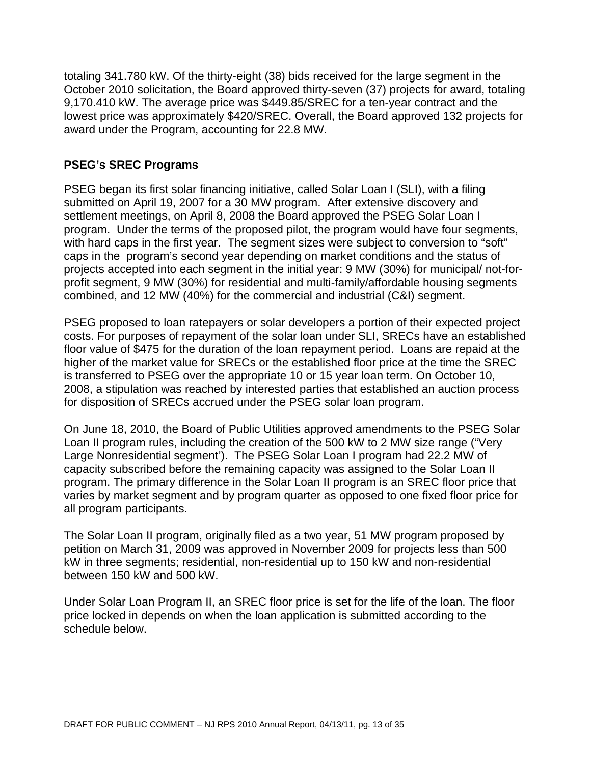totaling 341.780 kW. Of the thirty-eight (38) bids received for the large segment in the October 2010 solicitation, the Board approved thirty-seven (37) projects for award, totaling 9,170.410 kW. The average price was \$449.85/SREC for a ten-year contract and the lowest price was approximately \$420/SREC. Overall, the Board approved 132 projects for award under the Program, accounting for 22.8 MW.

#### **PSEG's SREC Programs**

PSEG began its first solar financing initiative, called Solar Loan I (SLI), with a filing submitted on April 19, 2007 for a 30 MW program. After extensive discovery and settlement meetings, on April 8, 2008 the Board approved the PSEG Solar Loan I program. Under the terms of the proposed pilot, the program would have four segments, with hard caps in the first year. The segment sizes were subject to conversion to "soft" caps in the program's second year depending on market conditions and the status of projects accepted into each segment in the initial year: 9 MW (30%) for municipal/ not-forprofit segment, 9 MW (30%) for residential and multi-family/affordable housing segments combined, and 12 MW (40%) for the commercial and industrial (C&I) segment.

PSEG proposed to loan ratepayers or solar developers a portion of their expected project costs. For purposes of repayment of the solar loan under SLI, SRECs have an established floor value of \$475 for the duration of the loan repayment period. Loans are repaid at the higher of the market value for SRECs or the established floor price at the time the SREC is transferred to PSEG over the appropriate 10 or 15 year loan term. On October 10, 2008, a stipulation was reached by interested parties that established an auction process for disposition of SRECs accrued under the PSEG solar loan program.

On June 18, 2010, the Board of Public Utilities approved amendments to the PSEG Solar Loan II program rules, including the creation of the 500 kW to 2 MW size range ("Very Large Nonresidential segment'). The PSEG Solar Loan I program had 22.2 MW of capacity subscribed before the remaining capacity was assigned to the Solar Loan II program. The primary difference in the Solar Loan II program is an SREC floor price that varies by market segment and by program quarter as opposed to one fixed floor price for all program participants.

The Solar Loan II program, originally filed as a two year, 51 MW program proposed by petition on March 31, 2009 was approved in November 2009 for projects less than 500 kW in three segments; residential, non-residential up to 150 kW and non-residential between 150 kW and 500 kW.

Under Solar Loan Program II, an SREC floor price is set for the life of the loan. The floor price locked in depends on when the loan application is submitted according to the schedule below.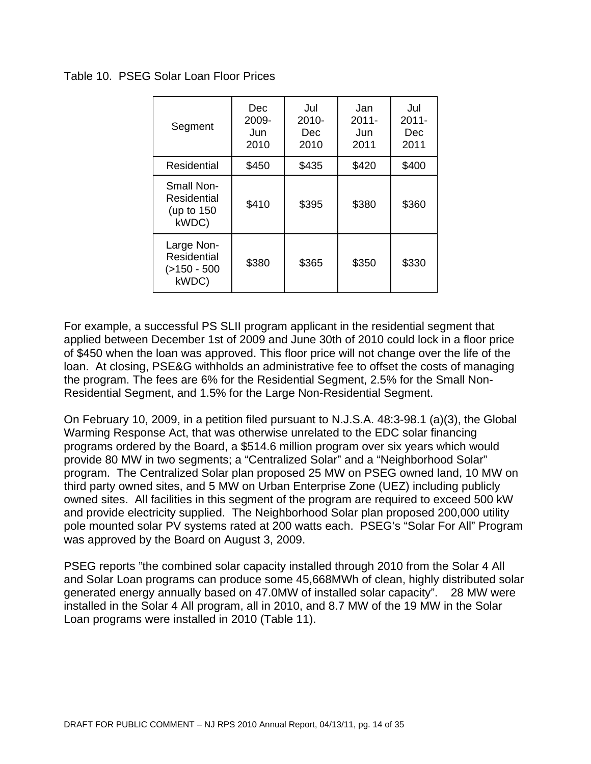Table 10. PSEG Solar Loan Floor Prices

| Segment                                               | Dec<br>2009-<br>Jun<br>2010 | Jul<br>$2010 -$<br>Dec<br>2010 | Jan<br>$2011 -$<br>Jun<br>2011 | Jul<br>$2011 -$<br>Dec<br>2011 |
|-------------------------------------------------------|-----------------------------|--------------------------------|--------------------------------|--------------------------------|
| Residential                                           | \$450                       | \$435                          | \$420                          | \$400                          |
| Small Non-<br>Residential<br>(up to 150)<br>kWDC)     | \$410                       | \$395                          | \$380                          | \$360                          |
| Large Non-<br>Residential<br>$( > 150 - 500$<br>kWDC) | \$380                       | \$365                          | \$350                          | \$330                          |

For example, a successful PS SLII program applicant in the residential segment that applied between December 1st of 2009 and June 30th of 2010 could lock in a floor price of \$450 when the loan was approved. This floor price will not change over the life of the loan. At closing, PSE&G withholds an administrative fee to offset the costs of managing the program. The fees are 6% for the Residential Segment, 2.5% for the Small Non-Residential Segment, and 1.5% for the Large Non-Residential Segment.

On February 10, 2009, in a petition filed pursuant to N.J.S.A. 48:3-98.1 (a)(3), the Global Warming Response Act, that was otherwise unrelated to the EDC solar financing programs ordered by the Board, a \$514.6 million program over six years which would provide 80 MW in two segments; a "Centralized Solar" and a "Neighborhood Solar" program. The Centralized Solar plan proposed 25 MW on PSEG owned land, 10 MW on third party owned sites, and 5 MW on Urban Enterprise Zone (UEZ) including publicly owned sites. All facilities in this segment of the program are required to exceed 500 kW and provide electricity supplied. The Neighborhood Solar plan proposed 200,000 utility pole mounted solar PV systems rated at 200 watts each. PSEG's "Solar For All" Program was approved by the Board on August 3, 2009.

PSEG reports "the combined solar capacity installed through 2010 from the Solar 4 All and Solar Loan programs can produce some 45,668MWh of clean, highly distributed solar generated energy annually based on 47.0MW of installed solar capacity". 28 MW were installed in the Solar 4 All program, all in 2010, and 8.7 MW of the 19 MW in the Solar Loan programs were installed in 2010 (Table 11).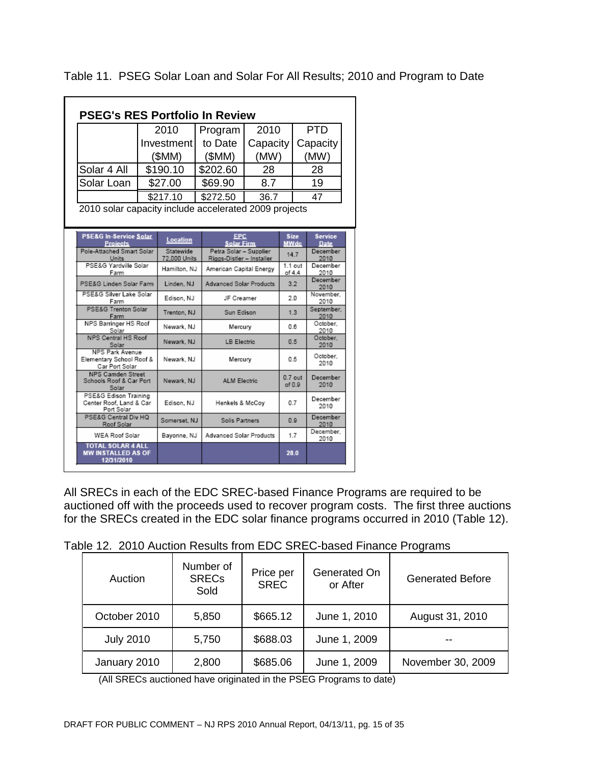|                                                                      |  | 2010            | Program                                     | 2010                           |                     | <b>PTD</b>        |                         |  |                  |
|----------------------------------------------------------------------|--|-----------------|---------------------------------------------|--------------------------------|---------------------|-------------------|-------------------------|--|------------------|
|                                                                      |  | Investment      | to Date                                     | Capacity                       |                     |                   | Capacity                |  |                  |
|                                                                      |  | (SMM)           | (SMM)                                       | (MW)                           |                     |                   | (MW)                    |  |                  |
| Solar 4 All                                                          |  | \$190.10        | \$202.60                                    | 28                             |                     |                   | 28                      |  |                  |
| Solar Loan                                                           |  | \$27.00         | \$69.90                                     | 8.7                            |                     |                   | 19                      |  |                  |
|                                                                      |  | \$217.10        | \$272.50                                    | 36.7                           |                     | 47                |                         |  |                  |
| <b>PSE&amp;G In-Service Solar</b>                                    |  | <b>Location</b> | <b>EPC</b>                                  |                                | <b>Size</b>         |                   | <b>Service</b>          |  |                  |
| <b>Projects</b><br>Pole-Attached Smart Solar                         |  | Statewide       | <b>Solar Firm</b><br>Petra Solar - Supplier |                                | <b>MWdc</b>         |                   | <b>Date</b><br>December |  |                  |
| Units<br>PSE&G Yardville Solar                                       |  | 72,000 Units    |                                             | Riggs-Distler - Installer      |                     | 14.7<br>$1.1$ out |                         |  | 2010<br>December |
| Farm                                                                 |  | Hamilton, NJ    | American Capital Energy                     |                                | of 4.4              |                   | 2010                    |  |                  |
| PSE&G Linden Solar Farm                                              |  | Linden, NJ      |                                             | <b>Advanced Solar Products</b> |                     | 3.2               | December<br>2010        |  |                  |
| PSE&G Silver Lake Solar<br>Farm                                      |  | Edison, NJ      | JF Creamer                                  |                                | 20                  |                   | November.<br>2010       |  |                  |
| <b>PSE&amp;G Trenton Solar</b><br>Farm                               |  | Trenton, NJ     | Sun Edison                                  |                                | 1.3                 |                   | September.<br>2010      |  |                  |
| NPS Barringer HS Roof<br>Solar                                       |  | Newark, NJ      | Mercury                                     |                                | 0.6                 |                   | October.<br>2010        |  |                  |
| <b>NPS Central HS Roof</b><br>Solar                                  |  | Newark NJ       | <b>LB Electric</b>                          |                                | 0.5                 |                   | October.<br>2010        |  |                  |
| <b>NPS Park Avenue</b><br>Elementary School Roof &<br>Car Port Solar |  | Newark, NJ      | Mercury                                     |                                | 0.5                 |                   | October.<br>2010        |  |                  |
| <b>NPS Camden Street</b><br>Schools Roof & Car Port<br>Solar         |  | Newark, NJ      | <b>ALM Electric</b>                         |                                | $0.7$ out<br>of 0.9 |                   | December<br>2010        |  |                  |
| PSE&G Edison Training<br>Center Roof, Land & Car<br>Port Solar       |  | Edison, NJ      | Henkels & McCoy                             |                                | 0.7                 |                   | December<br>2010        |  |                  |
| PSE&G Central Div HQ<br>Roof Solar                                   |  | Somerset, NJ    | Solis Partners                              |                                | 0.9                 |                   | December<br>2010        |  |                  |
| <b>WEA Roof Solar</b>                                                |  | Bavonne, NJ     | <b>Advanced Solar Products</b>              |                                | 1.7                 |                   | December.<br>2010       |  |                  |
| TOTAL SOLAR 4 ALL<br><b>MW INSTALLED AS OF</b>                       |  |                 |                                             |                                | 28.0                |                   |                         |  |                  |

Table 11. PSEG Solar Loan and Solar For All Results; 2010 and Program to Date

All SRECs in each of the EDC SREC-based Finance Programs are required to be auctioned off with the proceeds used to recover program costs. The first three auctions for the SRECs created in the EDC solar finance programs occurred in 2010 (Table 12).

| Table 12. 2010 Auction Results from EDC SREC-based Finance Programs |
|---------------------------------------------------------------------|
|---------------------------------------------------------------------|

| Auction          | Number of<br><b>SRECs</b><br>Sold | Price per<br><b>SREC</b> | Generated On<br>or After | <b>Generated Before</b> |
|------------------|-----------------------------------|--------------------------|--------------------------|-------------------------|
| October 2010     | 5,850                             | \$665.12                 | June 1, 2010             | August 31, 2010         |
| <b>July 2010</b> | 5,750                             | \$688.03                 | June 1, 2009             | --                      |
| January 2010     | 2,800                             | \$685.06                 | June 1, 2009             | November 30, 2009       |

(All SRECs auctioned have originated in the PSEG Programs to date)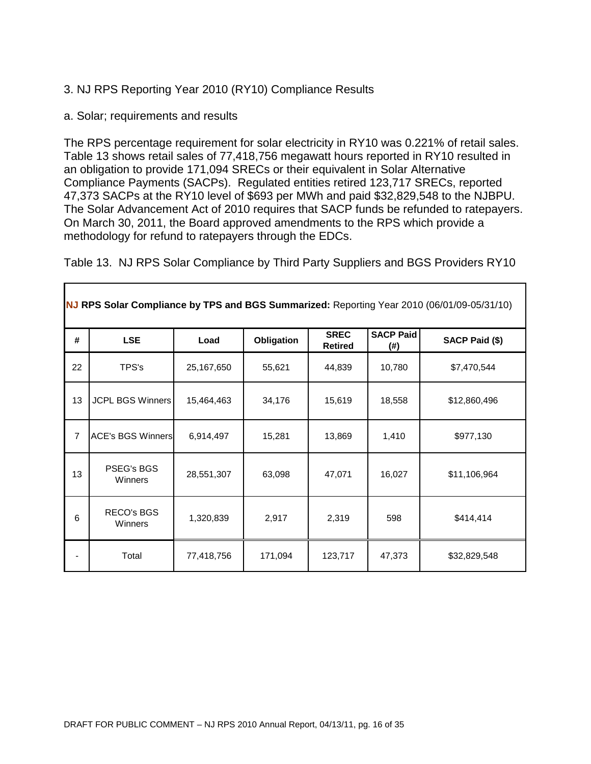- 3. NJ RPS Reporting Year 2010 (RY10) Compliance Results
- a. Solar; requirements and results

The RPS percentage requirement for solar electricity in RY10 was 0.221% of retail sales. Table 13 shows retail sales of 77,418,756 megawatt hours reported in RY10 resulted in an obligation to provide 171,094 SRECs or their equivalent in Solar Alternative Compliance Payments (SACPs). Regulated entities retired 123,717 SRECs, reported 47,373 SACPs at the RY10 level of \$693 per MWh and paid \$32,829,548 to the NJBPU. The Solar Advancement Act of 2010 requires that SACP funds be refunded to ratepayers. On March 30, 2011, the Board approved amendments to the RPS which provide a methodology for refund to ratepayers through the EDCs.

Table 13. NJ RPS Solar Compliance by Third Party Suppliers and BGS Providers RY10

| #  | <b>LSE</b>                   | Load       | Obligation | <b>SREC</b><br><b>Retired</b> | <b>SACP Paid</b><br>(#) | SACP Paid (\$) |
|----|------------------------------|------------|------------|-------------------------------|-------------------------|----------------|
| 22 | TPS's                        | 25,167,650 | 55,621     | 44,839                        | 10,780                  | \$7,470,544    |
| 13 | <b>JCPL BGS Winners</b>      | 15,464,463 | 34,176     | 15,619                        | 18,558                  | \$12,860,496   |
| 7  | <b>ACE's BGS Winners</b>     | 6,914,497  | 15,281     | 13,869                        | 1,410                   | \$977,130      |
| 13 | PSEG's BGS<br>Winners        | 28,551,307 | 63,098     | 47,071                        | 16,027                  | \$11,106,964   |
| 6  | <b>RECO's BGS</b><br>Winners | 1,320,839  | 2,917      | 2,319                         | 598                     | \$414,414      |
|    | Total                        | 77,418,756 | 171,094    | 123,717                       | 47,373                  | \$32,829,548   |

**NJ RPS Solar Compliance by TPS and BGS Summarized:** Reporting Year 2010 (06/01/09-05/31/10)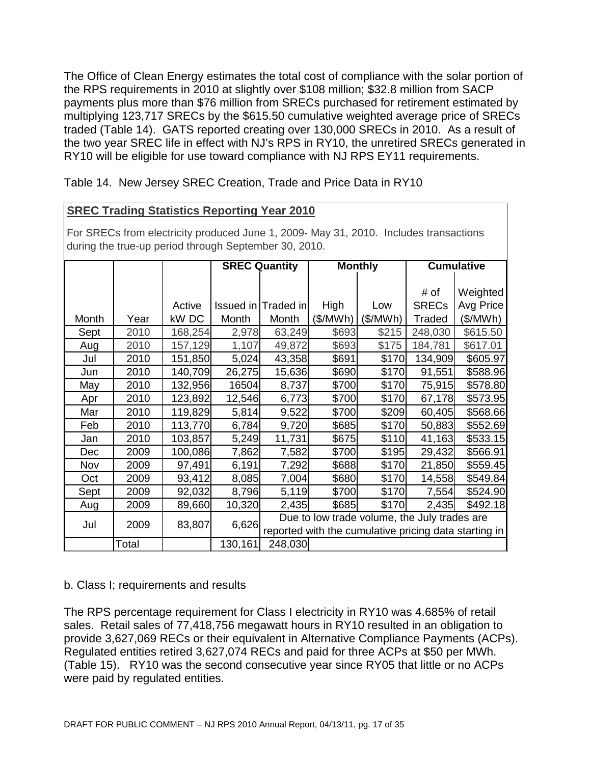The Office of Clean Energy estimates the total cost of compliance with the solar portion of the RPS requirements in 2010 at slightly over \$108 million; \$32.8 million from SACP payments plus more than \$76 million from SRECs purchased for retirement estimated by multiplying 123,717 SRECs by the \$615.50 cumulative weighted average price of SRECs traded (Table 14). GATS reported creating over 130,000 SRECs in 2010. As a result of the two year SREC life in effect with NJ's RPS in RY10, the unretired SRECs generated in RY10 will be eligible for use toward compliance with NJ RPS EY11 requirements.

Table 14. New Jersey SREC Creation, Trade and Price Data in RY10

### **SREC Trading Statistics Reporting Year 2010**

For SRECs from electricity produced June 1, 2009- May 31, 2010. Includes transactions during the true-up period through September 30, 2010.

|            |       |         |         | <b>SREC Quantity</b> |          | <b>Monthly</b>                               |              | <b>Cumulative</b>                                     |
|------------|-------|---------|---------|----------------------|----------|----------------------------------------------|--------------|-------------------------------------------------------|
|            |       |         |         |                      |          |                                              |              |                                                       |
|            |       |         |         |                      |          |                                              | # of         | Weighted                                              |
|            |       | Active  |         | Issued in Traded in  | High     | Low                                          | <b>SRECs</b> | Avg Price                                             |
| Month      | Year  | kW DC   | Month   | Month                | (\$/MWh) | (\$/MWh)                                     | Traded       | (\$/MWh)                                              |
| Sept       | 2010  | 168,254 | 2,978   | 63,249               | \$693    | \$215                                        | 248,030      | \$615.50                                              |
| Aug        | 2010  | 157,129 | 1,107   | 49,872               | \$693    | \$175                                        | 184,781      | \$617.01                                              |
| Jul        | 2010  | 151,850 | 5,024   | 43,358               | \$691    | \$170                                        | 134,909      | \$605.97                                              |
| Jun        | 2010  | 140,709 | 26,275  | 15,636               | \$690    | \$170                                        | 91,551       | \$588.96                                              |
| May        | 2010  | 132,956 | 16504   | 8,737                | \$700    | \$170                                        | 75,915       | \$578.80                                              |
| Apr        | 2010  | 123,892 | 12,546  | 6,773                | \$700    | \$170                                        | 67,178       | \$573.95                                              |
| Mar        | 2010  | 119,829 | 5,814   | 9,522                | \$700    | \$209                                        | 60,405       | \$568.66                                              |
| Feb        | 2010  | 113,770 | 6,784   | 9,720                | \$685    | \$170                                        | 50,883       | \$552.69                                              |
| Jan        | 2010  | 103,857 | 5,249   | 11,731               | \$675    | \$110                                        | 41,163       | \$533.15                                              |
| <b>Dec</b> | 2009  | 100,086 | 7,862   | 7,582                | \$700    | \$195                                        | 29,432       | \$566.91                                              |
| Nov        | 2009  | 97,491  | 6,191   | 7,292                | \$688    | \$170                                        | 21,850       | \$559.45                                              |
| Oct        | 2009  | 93,412  | 8,085   | 7,004                | \$680    | \$170                                        | 14,558       | \$549.84                                              |
| Sept       | 2009  | 92,032  | 8,796   | 5,119                | \$700    | \$170                                        | 7,554        | \$524.90                                              |
| Aug        | 2009  | 89,660  | 10,320  | 2,435                | \$685    | \$170                                        | 2,435        | \$492.18                                              |
|            |       |         |         |                      |          | Due to low trade volume, the July trades are |              |                                                       |
| Jul        | 2009  | 83,807  | 6,626   |                      |          |                                              |              | reported with the cumulative pricing data starting in |
|            | Total |         | 130,161 | 248,030              |          |                                              |              |                                                       |

#### b. Class I; requirements and results

The RPS percentage requirement for Class I electricity in RY10 was 4.685% of retail sales. Retail sales of 77,418,756 megawatt hours in RY10 resulted in an obligation to provide 3,627,069 RECs or their equivalent in Alternative Compliance Payments (ACPs). Regulated entities retired 3,627,074 RECs and paid for three ACPs at \$50 per MWh. (Table 15). RY10 was the second consecutive year since RY05 that little or no ACPs were paid by regulated entities.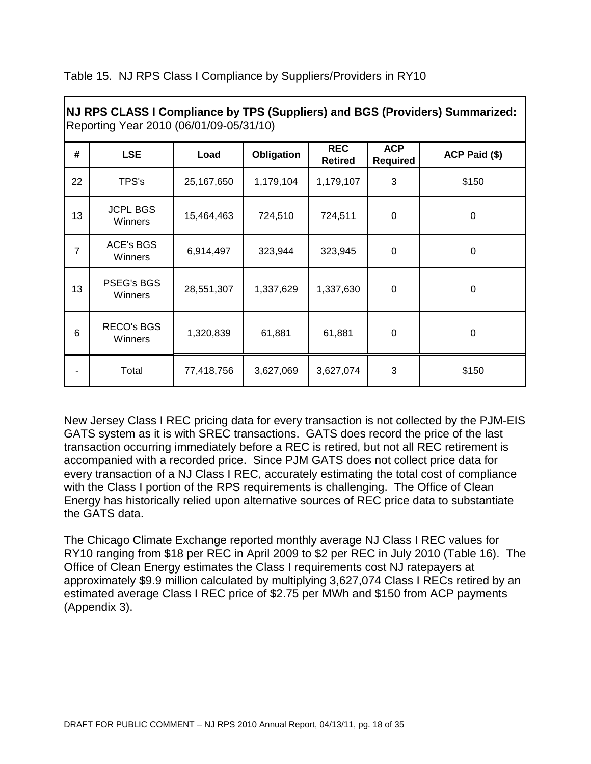|                | Reporting Year 2010 (06/01/09-05/31/10) |            |            |                              |                               | NJ RPS CLASS I Compliance by TPS (Suppliers) and BGS (Providers) Summarized: |
|----------------|-----------------------------------------|------------|------------|------------------------------|-------------------------------|------------------------------------------------------------------------------|
| #              | <b>LSE</b>                              | Load       | Obligation | <b>REC</b><br><b>Retired</b> | <b>ACP</b><br><b>Required</b> | ACP Paid (\$)                                                                |
| 22             | TPS's                                   | 25,167,650 | 1,179,104  | 1,179,107                    | 3                             | \$150                                                                        |
| 13             | <b>JCPL BGS</b><br>Winners              | 15,464,463 | 724,510    | 724,511                      | $\mathbf 0$                   | $\mathbf 0$                                                                  |
| $\overline{7}$ | ACE's BGS<br>Winners                    | 6,914,497  | 323,944    | 323,945                      | $\mathbf 0$                   | $\mathbf 0$                                                                  |
| 13             | <b>PSEG's BGS</b><br>Winners            | 28,551,307 | 1,337,629  | 1,337,630                    | $\mathbf 0$                   | 0                                                                            |
| 6              | <b>RECO's BGS</b><br>Winners            | 1,320,839  | 61,881     | 61,881                       | $\mathbf 0$                   | $\mathbf 0$                                                                  |
|                | Total                                   | 77,418,756 | 3,627,069  | 3,627,074                    | 3                             | \$150                                                                        |

Table 15. NJ RPS Class I Compliance by Suppliers/Providers in RY10

Г

New Jersey Class I REC pricing data for every transaction is not collected by the PJM-EIS GATS system as it is with SREC transactions. GATS does record the price of the last transaction occurring immediately before a REC is retired, but not all REC retirement is accompanied with a recorded price. Since PJM GATS does not collect price data for every transaction of a NJ Class I REC, accurately estimating the total cost of compliance with the Class I portion of the RPS requirements is challenging. The Office of Clean Energy has historically relied upon alternative sources of REC price data to substantiate the GATS data.

The Chicago Climate Exchange reported monthly average NJ Class I REC values for RY10 ranging from \$18 per REC in April 2009 to \$2 per REC in July 2010 (Table 16). The Office of Clean Energy estimates the Class I requirements cost NJ ratepayers at approximately \$9.9 million calculated by multiplying 3,627,074 Class I RECs retired by an estimated average Class I REC price of \$2.75 per MWh and \$150 from ACP payments (Appendix 3).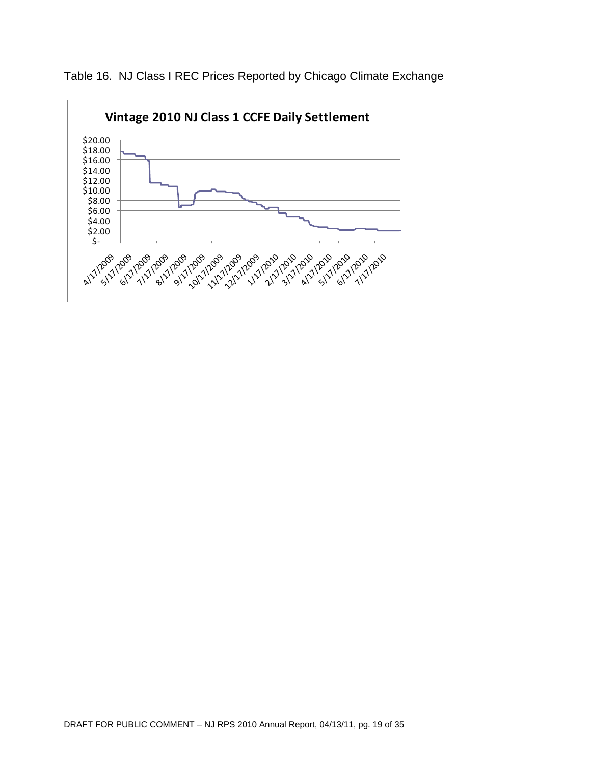

Table 16. NJ Class I REC Prices Reported by Chicago Climate Exchange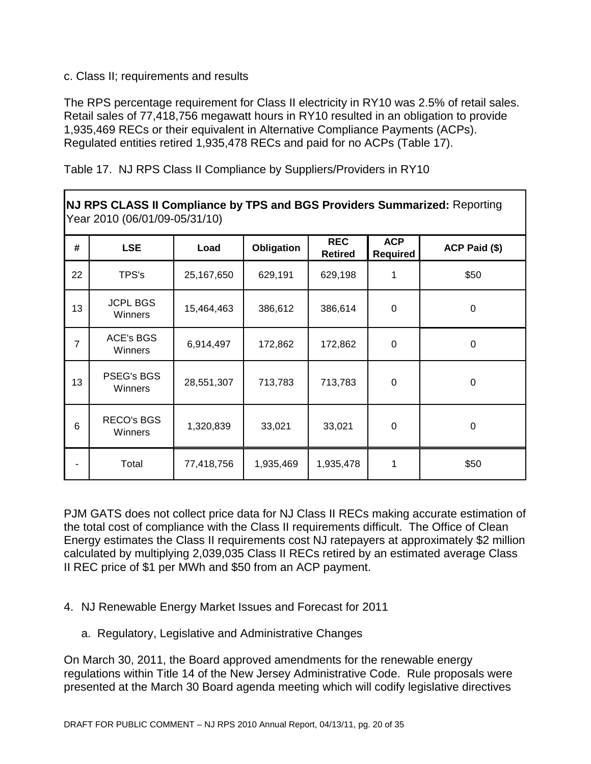#### c. Class II; requirements and results

The RPS percentage requirement for Class II electricity in RY10 was 2.5% of retail sales. Retail sales of 77,418,756 megawatt hours in RY10 resulted in an obligation to provide 1,935,469 RECs or their equivalent in Alternative Compliance Payments (ACPs). Regulated entities retired 1,935,478 RECs and paid for no ACPs (Table 17).

|  |  | Table 17. NJ RPS Class II Compliance by Suppliers/Providers in RY10 |
|--|--|---------------------------------------------------------------------|
|  |  |                                                                     |

|                | Year 2010 (06/01/09-05/31/10) |            |            |                              |                               | NJ RPS CLASS II Compliance by TPS and BGS Providers Summarized: Reporting |
|----------------|-------------------------------|------------|------------|------------------------------|-------------------------------|---------------------------------------------------------------------------|
| #              | <b>LSE</b>                    | Load       | Obligation | <b>REC</b><br><b>Retired</b> | <b>ACP</b><br><b>Required</b> | ACP Paid (\$)                                                             |
| 22             | TPS's                         | 25,167,650 | 629,191    | 629,198                      |                               | \$50                                                                      |
| 13             | <b>JCPL BGS</b><br>Winners    | 15,464,463 | 386,612    | 386,614                      | $\mathbf 0$                   | $\pmb{0}$                                                                 |
| $\overline{7}$ | ACE's BGS<br>Winners          | 6,914,497  | 172,862    | 172,862                      | $\mathbf 0$                   | $\pmb{0}$                                                                 |
| 13             | <b>PSEG's BGS</b><br>Winners  | 28,551,307 | 713,783    | 713,783                      | $\mathbf 0$                   | $\pmb{0}$                                                                 |
| 6              | RECO's BGS<br>Winners         | 1,320,839  | 33,021     | 33,021                       | $\mathbf 0$                   | 0                                                                         |
|                | Total                         | 77,418,756 | 1,935,469  | 1,935,478                    |                               | \$50                                                                      |

PJM GATS does not collect price data for NJ Class II RECs making accurate estimation of the total cost of compliance with the Class II requirements difficult. The Office of Clean Energy estimates the Class II requirements cost NJ ratepayers at approximately \$2 million calculated by multiplying 2,039,035 Class II RECs retired by an estimated average Class II REC price of \$1 per MWh and \$50 from an ACP payment.

- 4. NJ Renewable Energy Market Issues and Forecast for 2011
	- a. Regulatory, Legislative and Administrative Changes

On March 30, 2011, the Board approved amendments for the renewable energy regulations within Title 14 of the New Jersey Administrative Code. Rule proposals were presented at the March 30 Board agenda meeting which will codify legislative directives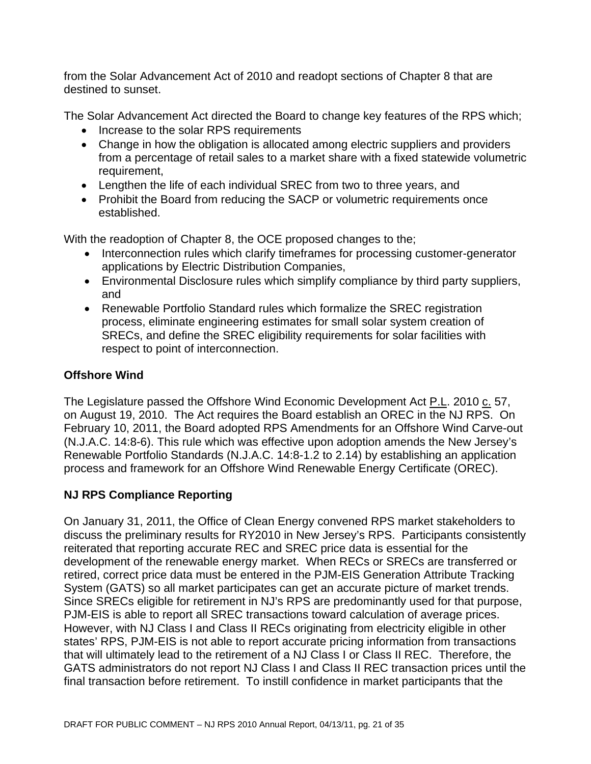from the Solar Advancement Act of 2010 and readopt sections of Chapter 8 that are destined to sunset.

The Solar Advancement Act directed the Board to change key features of the RPS which;

- Increase to the solar RPS requirements
- Change in how the obligation is allocated among electric suppliers and providers from a percentage of retail sales to a market share with a fixed statewide volumetric requirement,
- Lengthen the life of each individual SREC from two to three years, and
- Prohibit the Board from reducing the SACP or volumetric requirements once established.

With the readoption of Chapter 8, the OCE proposed changes to the;

- Interconnection rules which clarify timeframes for processing customer-generator applications by Electric Distribution Companies,
- Environmental Disclosure rules which simplify compliance by third party suppliers, and
- Renewable Portfolio Standard rules which formalize the SREC registration process, eliminate engineering estimates for small solar system creation of SRECs, and define the SREC eligibility requirements for solar facilities with respect to point of interconnection.

## **Offshore Wind**

The Legislature passed the Offshore Wind Economic Development Act P.L. 2010 c. 57, on August 19, 2010. The Act requires the Board establish an OREC in the NJ RPS. On February 10, 2011, the Board adopted RPS Amendments for an Offshore Wind Carve-out (N.J.A.C. 14:8-6). This rule which was effective upon adoption amends the New Jersey's Renewable Portfolio Standards (N.J.A.C. 14:8-1.2 to 2.14) by establishing an application process and framework for an Offshore Wind Renewable Energy Certificate (OREC).

## **NJ RPS Compliance Reporting**

On January 31, 2011, the Office of Clean Energy convened RPS market stakeholders to discuss the preliminary results for RY2010 in New Jersey's RPS. Participants consistently reiterated that reporting accurate REC and SREC price data is essential for the development of the renewable energy market. When RECs or SRECs are transferred or retired, correct price data must be entered in the PJM-EIS Generation Attribute Tracking System (GATS) so all market participates can get an accurate picture of market trends. Since SRECs eligible for retirement in NJ's RPS are predominantly used for that purpose, PJM-EIS is able to report all SREC transactions toward calculation of average prices. However, with NJ Class I and Class II RECs originating from electricity eligible in other states' RPS, PJM-EIS is not able to report accurate pricing information from transactions that will ultimately lead to the retirement of a NJ Class I or Class II REC. Therefore, the GATS administrators do not report NJ Class I and Class II REC transaction prices until the final transaction before retirement. To instill confidence in market participants that the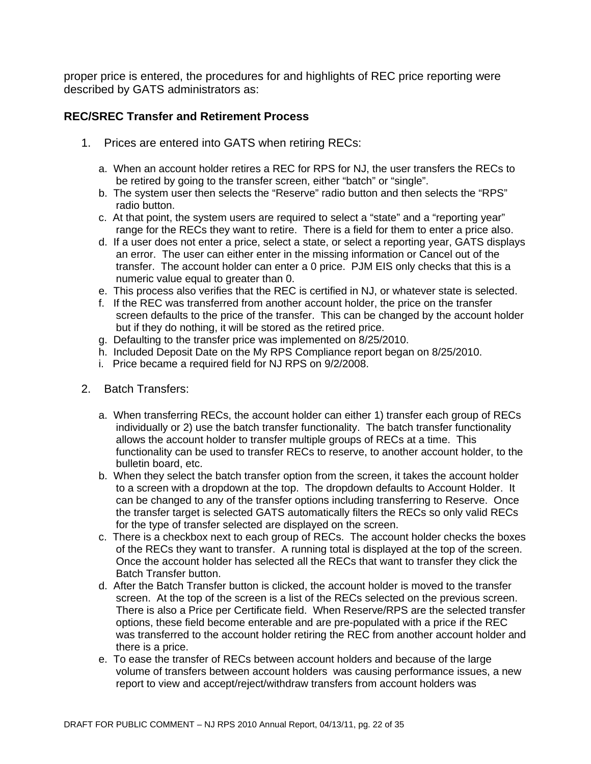proper price is entered, the procedures for and highlights of REC price reporting were described by GATS administrators as:

#### **REC/SREC Transfer and Retirement Process**

- 1. Prices are entered into GATS when retiring RECs:
	- a. When an account holder retires a REC for RPS for NJ, the user transfers the RECs to be retired by going to the transfer screen, either "batch" or "single".
	- b. The system user then selects the "Reserve" radio button and then selects the "RPS" radio button.
	- c. At that point, the system users are required to select a "state" and a "reporting year" range for the RECs they want to retire. There is a field for them to enter a price also.
	- d. If a user does not enter a price, select a state, or select a reporting year, GATS displays an error. The user can either enter in the missing information or Cancel out of the transfer. The account holder can enter a 0 price. PJM EIS only checks that this is a numeric value equal to greater than 0.
	- e. This process also verifies that the REC is certified in NJ, or whatever state is selected.
	- f. If the REC was transferred from another account holder, the price on the transfer screen defaults to the price of the transfer. This can be changed by the account holder but if they do nothing, it will be stored as the retired price.
	- g. Defaulting to the transfer price was implemented on 8/25/2010.
	- h. Included Deposit Date on the My RPS Compliance report began on 8/25/2010.
	- i. Price became a required field for NJ RPS on 9/2/2008.
- 2. Batch Transfers:
	- a. When transferring RECs, the account holder can either 1) transfer each group of RECs individually or 2) use the batch transfer functionality. The batch transfer functionality allows the account holder to transfer multiple groups of RECs at a time. This functionality can be used to transfer RECs to reserve, to another account holder, to the bulletin board, etc.
	- b. When they select the batch transfer option from the screen, it takes the account holder to a screen with a dropdown at the top. The dropdown defaults to Account Holder. It can be changed to any of the transfer options including transferring to Reserve. Once the transfer target is selected GATS automatically filters the RECs so only valid RECs for the type of transfer selected are displayed on the screen.
	- c. There is a checkbox next to each group of RECs. The account holder checks the boxes of the RECs they want to transfer. A running total is displayed at the top of the screen. Once the account holder has selected all the RECs that want to transfer they click the Batch Transfer button.
	- d. After the Batch Transfer button is clicked, the account holder is moved to the transfer screen. At the top of the screen is a list of the RECs selected on the previous screen. There is also a Price per Certificate field. When Reserve/RPS are the selected transfer options, these field become enterable and are pre-populated with a price if the REC was transferred to the account holder retiring the REC from another account holder and there is a price.
	- e. To ease the transfer of RECs between account holders and because of the large volume of transfers between account holders was causing performance issues, a new report to view and accept/reject/withdraw transfers from account holders was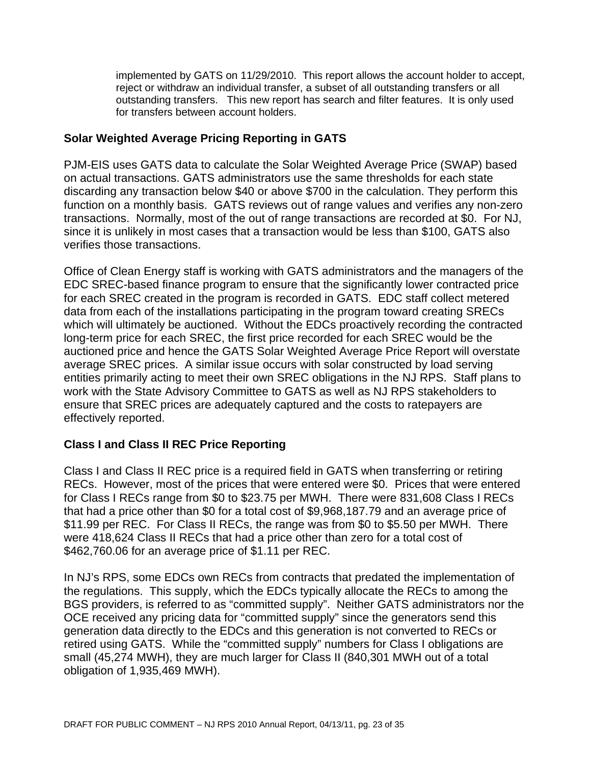implemented by GATS on 11/29/2010. This report allows the account holder to accept, reject or withdraw an individual transfer, a subset of all outstanding transfers or all outstanding transfers. This new report has search and filter features. It is only used for transfers between account holders.

#### **Solar Weighted Average Pricing Reporting in GATS**

PJM-EIS uses GATS data to calculate the Solar Weighted Average Price (SWAP) based on actual transactions. GATS administrators use the same thresholds for each state discarding any transaction below \$40 or above \$700 in the calculation. They perform this function on a monthly basis. GATS reviews out of range values and verifies any non-zero transactions. Normally, most of the out of range transactions are recorded at \$0. For NJ, since it is unlikely in most cases that a transaction would be less than \$100, GATS also verifies those transactions.

Office of Clean Energy staff is working with GATS administrators and the managers of the EDC SREC-based finance program to ensure that the significantly lower contracted price for each SREC created in the program is recorded in GATS. EDC staff collect metered data from each of the installations participating in the program toward creating SRECs which will ultimately be auctioned. Without the EDCs proactively recording the contracted long-term price for each SREC, the first price recorded for each SREC would be the auctioned price and hence the GATS Solar Weighted Average Price Report will overstate average SREC prices. A similar issue occurs with solar constructed by load serving entities primarily acting to meet their own SREC obligations in the NJ RPS. Staff plans to work with the State Advisory Committee to GATS as well as NJ RPS stakeholders to ensure that SREC prices are adequately captured and the costs to ratepayers are effectively reported.

### **Class I and Class II REC Price Reporting**

Class I and Class II REC price is a required field in GATS when transferring or retiring RECs. However, most of the prices that were entered were \$0. Prices that were entered for Class I RECs range from \$0 to \$23.75 per MWH. There were 831,608 Class I RECs that had a price other than \$0 for a total cost of \$9,968,187.79 and an average price of \$11.99 per REC. For Class II RECs, the range was from \$0 to \$5.50 per MWH. There were 418,624 Class II RECs that had a price other than zero for a total cost of \$462,760.06 for an average price of \$1.11 per REC.

In NJ's RPS, some EDCs own RECs from contracts that predated the implementation of the regulations. This supply, which the EDCs typically allocate the RECs to among the BGS providers, is referred to as "committed supply". Neither GATS administrators nor the OCE received any pricing data for "committed supply" since the generators send this generation data directly to the EDCs and this generation is not converted to RECs or retired using GATS. While the "committed supply" numbers for Class I obligations are small (45,274 MWH), they are much larger for Class II (840,301 MWH out of a total obligation of 1,935,469 MWH).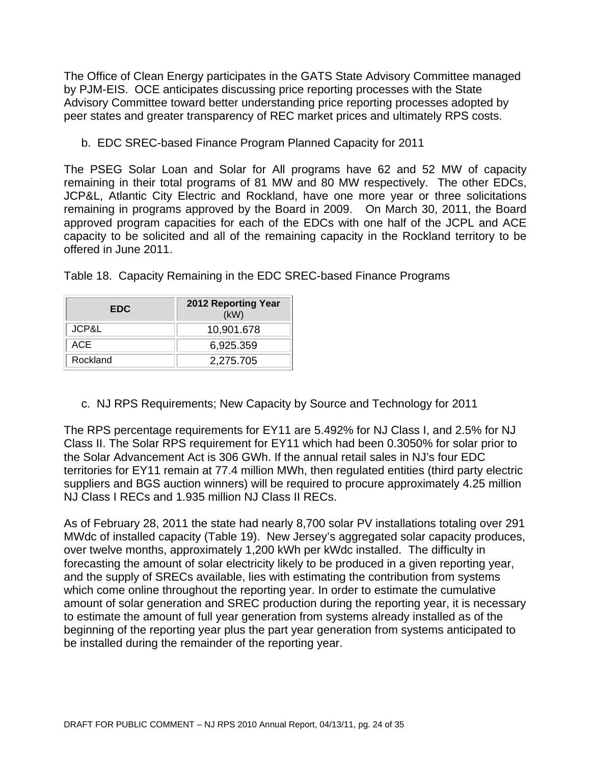The Office of Clean Energy participates in the GATS State Advisory Committee managed by PJM-EIS. OCE anticipates discussing price reporting processes with the State Advisory Committee toward better understanding price reporting processes adopted by peer states and greater transparency of REC market prices and ultimately RPS costs.

b. EDC SREC-based Finance Program Planned Capacity for 2011

The PSEG Solar Loan and Solar for All programs have 62 and 52 MW of capacity remaining in their total programs of 81 MW and 80 MW respectively. The other EDCs, JCP&L, Atlantic City Electric and Rockland, have one more year or three solicitations remaining in programs approved by the Board in 2009. On March 30, 2011, the Board approved program capacities for each of the EDCs with one half of the JCPL and ACE capacity to be solicited and all of the remaining capacity in the Rockland territory to be offered in June 2011.

| <b>EDC</b> | 2012 Reporting Year<br>(KW) |
|------------|-----------------------------|
| JCP&L      | 10,901.678                  |
| ACE        | 6,925.359                   |
| Rockland   | 2,275.705                   |

Table 18. Capacity Remaining in the EDC SREC-based Finance Programs

c. NJ RPS Requirements; New Capacity by Source and Technology for 2011

The RPS percentage requirements for EY11 are 5.492% for NJ Class I, and 2.5% for NJ Class II. The Solar RPS requirement for EY11 which had been 0.3050% for solar prior to the Solar Advancement Act is 306 GWh. If the annual retail sales in NJ's four EDC territories for EY11 remain at 77.4 million MWh, then regulated entities (third party electric suppliers and BGS auction winners) will be required to procure approximately 4.25 million NJ Class I RECs and 1.935 million NJ Class II RECs.

As of February 28, 2011 the state had nearly 8,700 solar PV installations totaling over 291 MWdc of installed capacity (Table 19). New Jersey's aggregated solar capacity produces, over twelve months, approximately 1,200 kWh per kWdc installed. The difficulty in forecasting the amount of solar electricity likely to be produced in a given reporting year, and the supply of SRECs available, lies with estimating the contribution from systems which come online throughout the reporting year. In order to estimate the cumulative amount of solar generation and SREC production during the reporting year, it is necessary to estimate the amount of full year generation from systems already installed as of the beginning of the reporting year plus the part year generation from systems anticipated to be installed during the remainder of the reporting year.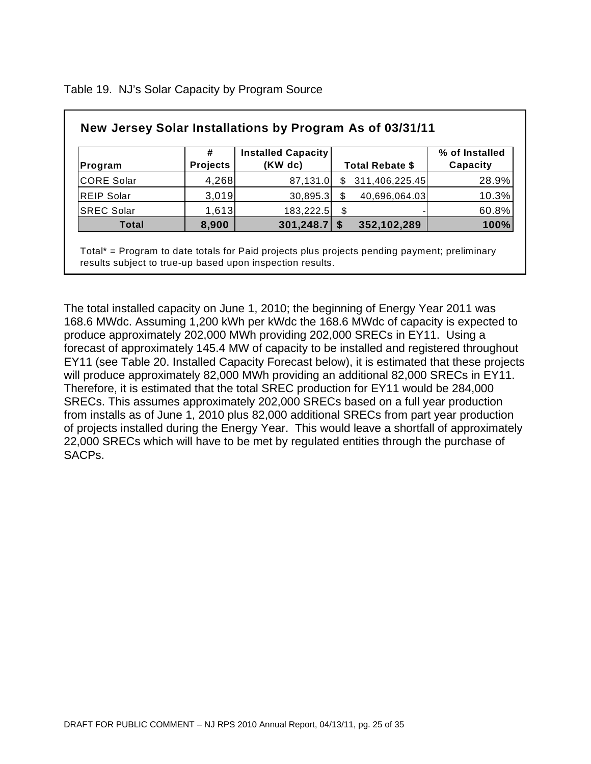| New Jersey Solar Installations by Program As of 03/31/11 |                 |                                      |                        |                            |
|----------------------------------------------------------|-----------------|--------------------------------------|------------------------|----------------------------|
| Program                                                  | <b>Projects</b> | <b>Installed Capacity</b><br>(KW dc) | <b>Total Rebate \$</b> | % of Installed<br>Capacity |
| CORE Solar                                               | 4,268           | 87,131.0                             | 311,406,225.45         | 28.9%                      |
| <b>REIP Solar</b>                                        | 3,019           | 30,895.3                             | 40,696,064.03          | 10.3%                      |
| <b>SREC Solar</b>                                        | 1,613           | 183,222.5                            | \$                     | 60.8%                      |
| <b>Total</b>                                             | 8,900           | $301,248.7$ \$                       | 352,102,289            | 100%                       |

Table 19. NJ's Solar Capacity by Program Source

Total\* = Program to date totals for Paid projects plus projects pending payment; preliminary results subject to true-up based upon inspection results.

The total installed capacity on June 1, 2010; the beginning of Energy Year 2011 was 168.6 MWdc. Assuming 1,200 kWh per kWdc the 168.6 MWdc of capacity is expected to produce approximately 202,000 MWh providing 202,000 SRECs in EY11. Using a forecast of approximately 145.4 MW of capacity to be installed and registered throughout EY11 (see Table 20. Installed Capacity Forecast below), it is estimated that these projects will produce approximately 82,000 MWh providing an additional 82,000 SRECs in EY11. Therefore, it is estimated that the total SREC production for EY11 would be 284,000 SRECs. This assumes approximately 202,000 SRECs based on a full year production from installs as of June 1, 2010 plus 82,000 additional SRECs from part year production of projects installed during the Energy Year. This would leave a shortfall of approximately 22,000 SRECs which will have to be met by regulated entities through the purchase of SACPs.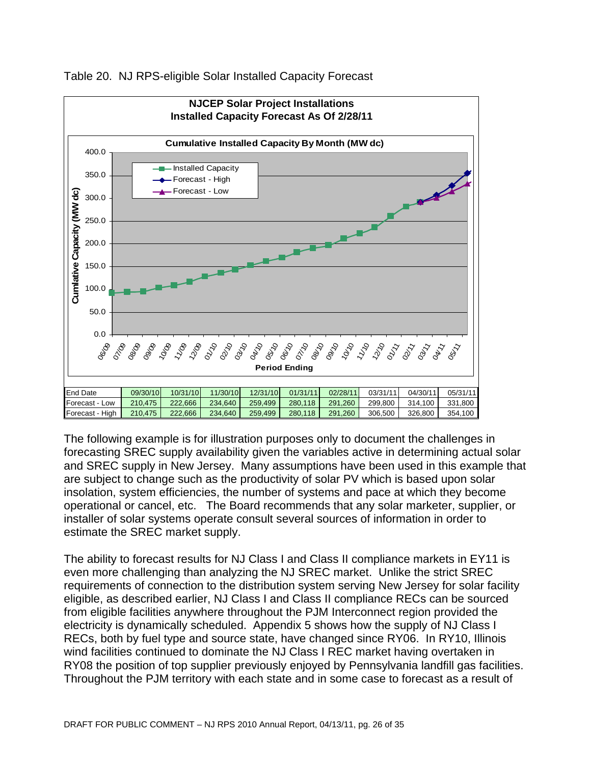

Table 20. NJ RPS-eligible Solar Installed Capacity Forecast

The following example is for illustration purposes only to document the challenges in forecasting SREC supply availability given the variables active in determining actual solar and SREC supply in New Jersey. Many assumptions have been used in this example that are subject to change such as the productivity of solar PV which is based upon solar insolation, system efficiencies, the number of systems and pace at which they become operational or cancel, etc. The Board recommends that any solar marketer, supplier, or installer of solar systems operate consult several sources of information in order to estimate the SREC market supply.

The ability to forecast results for NJ Class I and Class II compliance markets in EY11 is even more challenging than analyzing the NJ SREC market. Unlike the strict SREC requirements of connection to the distribution system serving New Jersey for solar facility eligible, as described earlier, NJ Class I and Class II compliance RECs can be sourced from eligible facilities anywhere throughout the PJM Interconnect region provided the electricity is dynamically scheduled. Appendix 5 shows how the supply of NJ Class I RECs, both by fuel type and source state, have changed since RY06. In RY10, Illinois wind facilities continued to dominate the NJ Class I REC market having overtaken in RY08 the position of top supplier previously enjoyed by Pennsylvania landfill gas facilities. Throughout the PJM territory with each state and in some case to forecast as a result of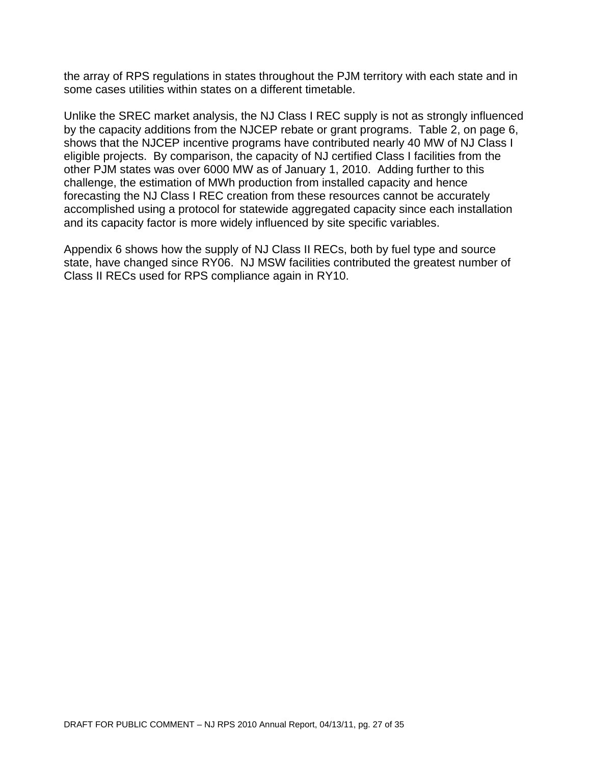the array of RPS regulations in states throughout the PJM territory with each state and in some cases utilities within states on a different timetable.

Unlike the SREC market analysis, the NJ Class I REC supply is not as strongly influenced by the capacity additions from the NJCEP rebate or grant programs. Table 2, on page 6, shows that the NJCEP incentive programs have contributed nearly 40 MW of NJ Class I eligible projects. By comparison, the capacity of NJ certified Class I facilities from the other PJM states was over 6000 MW as of January 1, 2010. Adding further to this challenge, the estimation of MWh production from installed capacity and hence forecasting the NJ Class I REC creation from these resources cannot be accurately accomplished using a protocol for statewide aggregated capacity since each installation and its capacity factor is more widely influenced by site specific variables.

Appendix 6 shows how the supply of NJ Class II RECs, both by fuel type and source state, have changed since RY06. NJ MSW facilities contributed the greatest number of Class II RECs used for RPS compliance again in RY10.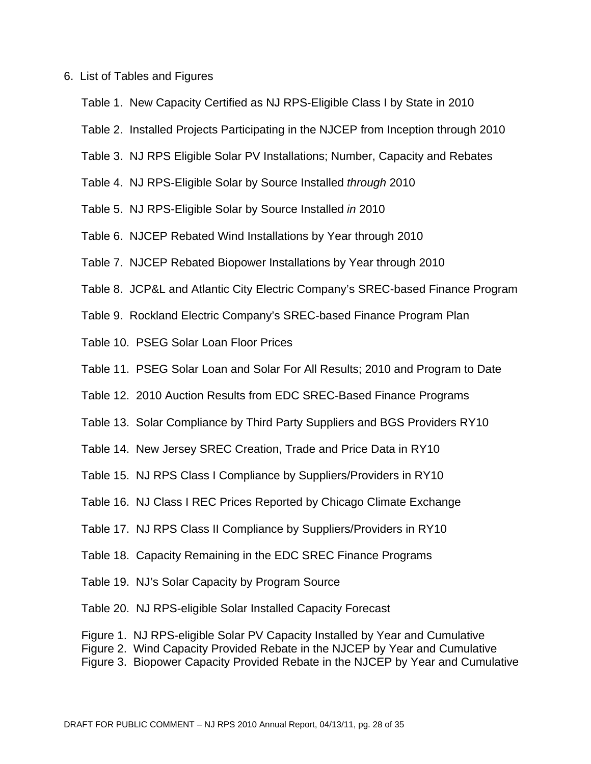#### 6. List of Tables and Figures

- Table 1. New Capacity Certified as NJ RPS-Eligible Class I by State in 2010
- Table 2. Installed Projects Participating in the NJCEP from Inception through 2010
- Table 3. NJ RPS Eligible Solar PV Installations; Number, Capacity and Rebates
- Table 4. NJ RPS-Eligible Solar by Source Installed *through* 2010
- Table 5. NJ RPS-Eligible Solar by Source Installed *in* 2010
- Table 6. NJCEP Rebated Wind Installations by Year through 2010
- Table 7. NJCEP Rebated Biopower Installations by Year through 2010
- Table 8. JCP&L and Atlantic City Electric Company's SREC-based Finance Program
- Table 9. Rockland Electric Company's SREC-based Finance Program Plan
- Table 10. PSEG Solar Loan Floor Prices
- Table 11. PSEG Solar Loan and Solar For All Results; 2010 and Program to Date
- Table 12. 2010 Auction Results from EDC SREC-Based Finance Programs
- Table 13. Solar Compliance by Third Party Suppliers and BGS Providers RY10
- Table 14. New Jersey SREC Creation, Trade and Price Data in RY10
- Table 15. NJ RPS Class I Compliance by Suppliers/Providers in RY10
- Table 16. NJ Class I REC Prices Reported by Chicago Climate Exchange
- Table 17. NJ RPS Class II Compliance by Suppliers/Providers in RY10
- Table 18. Capacity Remaining in the EDC SREC Finance Programs
- Table 19. NJ's Solar Capacity by Program Source
- Table 20. NJ RPS-eligible Solar Installed Capacity Forecast
- Figure 1. NJ RPS-eligible Solar PV Capacity Installed by Year and Cumulative
- Figure 2. Wind Capacity Provided Rebate in the NJCEP by Year and Cumulative
- Figure 3. Biopower Capacity Provided Rebate in the NJCEP by Year and Cumulative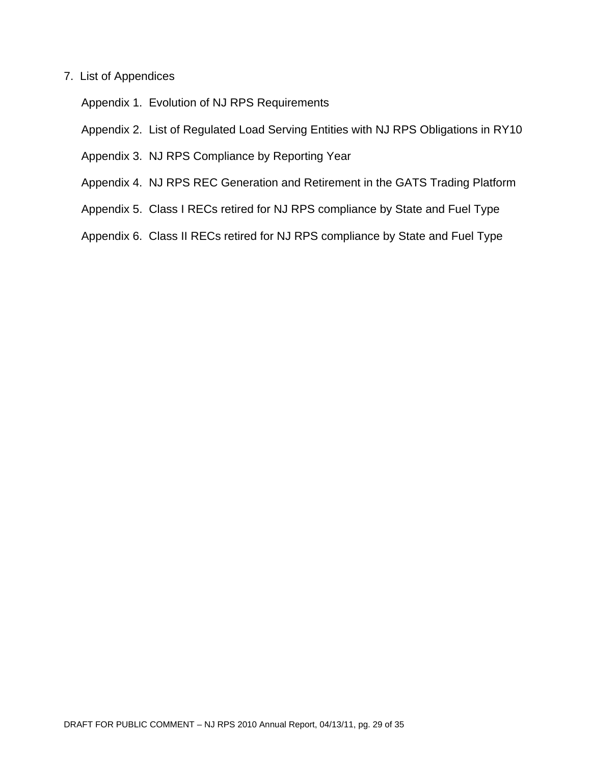#### 7. List of Appendices

Appendix 1. Evolution of NJ RPS Requirements

Appendix 2. List of Regulated Load Serving Entities with NJ RPS Obligations in RY10

- Appendix 3. NJ RPS Compliance by Reporting Year
- Appendix 4. NJ RPS REC Generation and Retirement in the GATS Trading Platform
- Appendix 5. Class I RECs retired for NJ RPS compliance by State and Fuel Type
- Appendix 6. Class II RECs retired for NJ RPS compliance by State and Fuel Type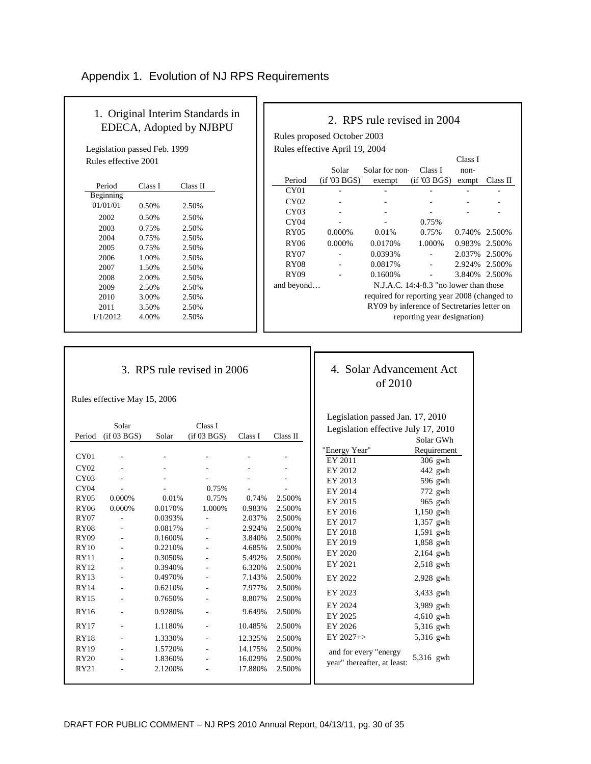### Appendix 1. Evolution of NJ RPS Requirements

| 1. Original Interim Standards in |
|----------------------------------|
| EDECA, Adopted by NJBPU          |

Legislation passed Feb. 1999 Rules effective 2001

| Period    | Class I | Class II |
|-----------|---------|----------|
| Beginning |         |          |
| 01/01/01  | 0.50%   | 2.50%    |
| 2002      | 0.50%   | 2.50%    |
| 2003      | 0.75%   | 2.50%    |
| 2004      | 0.75%   | 2.50%    |
| 2005      | 0.75%   | 2.50%    |
| 2006      | 1.00%   | 2.50%    |
| 2007      | 1.50%   | 2.50%    |
| 2008      | 2.00%   | 2.50%    |
| 2009      | 2.50%   | 2.50%    |
| 2010      | 3.00%   | 2.50%    |
| 2011      | 3.50%   | 2.50%    |
| 1/1/2012  | 4.00%   | 2.50%    |

|                                |             | 2. RPS rule revised in 2004                  |                                          |               |          |
|--------------------------------|-------------|----------------------------------------------|------------------------------------------|---------------|----------|
| Rules proposed October 2003    |             |                                              |                                          |               |          |
| Rules effective April 19, 2004 |             |                                              |                                          |               |          |
|                                |             |                                              |                                          | Class I       |          |
|                                | Solar       | Solar for non-                               | Class I                                  | $non-$        |          |
| Period                         | (if'03 BGS) | exempt                                       | (if'03 BGS)                              | exmpt         | Class II |
| CY01                           |             |                                              |                                          |               |          |
| CY <sub>02</sub>               |             |                                              |                                          |               |          |
| CY03                           |             |                                              |                                          |               |          |
| CY <sub>04</sub>               |             |                                              | 0.75%                                    |               |          |
| RY <sub>05</sub>               | 0.000%      | 0.01%                                        | 0.75%                                    | 0.740\%       | 2.500%   |
| RY06                           | 0.000%      | 0.0170%                                      | 1.000%                                   | 0.983%        | 2.500%   |
| RY07                           |             | 0.0393%                                      |                                          | 2.037% 2.500% |          |
| <b>RY08</b>                    |             | 0.0817%                                      |                                          | 2.924%        | 2.500%   |
| RY <sub>09</sub>               |             | 0.1600%                                      |                                          | 3.840%        | 2.500%   |
| and beyond                     |             |                                              | N.J.A.C. $14:4-8.3$ "no lower than those |               |          |
|                                |             | required for reporting year 2008 (changed to |                                          |               |          |
|                                |             | RY09 by inference of Sectretaries letter on  |                                          |               |          |
|                                |             |                                              | reporting year designation)              |               |          |
|                                |             |                                              |                                          |               |          |

#### 3. RPS rule revised in 2006

Rules effective May 15, 2006

|                  |                          |          |              |         |                          | Legislation passed Jan. 17, 2010    |             |
|------------------|--------------------------|----------|--------------|---------|--------------------------|-------------------------------------|-------------|
|                  | Solar                    |          | Class I      |         |                          | Legislation effective July 17, 2010 |             |
| Period           | (if 03 BGS)              | Solar    | (i f 03 BGS) | Class I | Class II                 |                                     | Solar GWh   |
| CY01             |                          |          |              |         |                          | "Energy Year"                       | Requirement |
|                  |                          |          |              |         |                          | EY 2011                             | 306 gwh     |
| CY02             |                          |          |              |         | $\overline{\phantom{a}}$ | EY 2012                             | $442$ gwh   |
| CY <sub>03</sub> |                          |          |              |         |                          | EY 2013                             | 596 gwh     |
| CY04             |                          |          | 0.75%        |         |                          | EY 2014                             | 772 gwh     |
| RY05             | 0.000%                   | 0.01%    | 0.75%        | 0.74%   | 2.500%                   | EY 2015                             | 965 gwh     |
| <b>RY06</b>      | 0.000%                   | 0.0170%  | 1.000%       | 0.983%  | 2.500%                   | EY 2016                             | 1,150 gwh   |
| <b>RY07</b>      |                          | 0.0393%  |              | 2.037%  | 2.500%                   | EY 2017                             | 1,357 gwh   |
| <b>RY08</b>      |                          | 0.0817%  |              | 2.924%  | 2.500%                   | EY 2018                             | 1,591 gwh   |
| <b>RY09</b>      | $\sim$                   | 0.1600%  | ÷.           | 3.840%  | 2.500%                   | EY 2019                             | 1,858 gwh   |
| <b>RY10</b>      |                          | 0.2210\% |              | 4.685%  | 2.500%                   | EY 2020                             | 2,164 gwh   |
| <b>RY11</b>      |                          | 0.3050%  |              | 5.492%  | 2.500%                   | EY 2021                             |             |
| <b>RY12</b>      |                          | 0.3940%  |              | 6.320%  | 2.500%                   |                                     | $2,518$ gwh |
| RY13             | $\overline{\phantom{a}}$ | 0.4970%  |              | 7.143%  | 2.500%                   | EY 2022                             | 2,928 gwh   |
| <b>RY14</b>      | $\overline{\phantom{a}}$ | 0.6210%  | ÷            | 7.977%  | 2.500%                   | EY 2023                             | 3,433 gwh   |
| <b>RY15</b>      | $\overline{\phantom{a}}$ | 0.7650%  | ÷            | 8.807%  | 2.500%                   |                                     |             |
| <b>RY16</b>      | ÷.                       | 0.9280%  |              | 9.649%  | 2.500%                   | EY 2024                             | 3,989 gwh   |
|                  |                          |          |              |         |                          | EY 2025                             | 4,610 gwh   |
| RY17             | $\overline{\phantom{a}}$ | 1.1180%  | ÷            | 10.485% | 2.500%                   | EY 2026                             | 5,316 gwh   |
| <b>RY18</b>      |                          | 1.3330%  |              | 12.325% | 2.500%                   | $EY 2027 + >$                       | 5,316 gwh   |
| <b>RY19</b>      |                          | 1.5720%  |              | 14.175% | 2.500%                   | and for every "energy               |             |
| <b>RY20</b>      | $\sim$                   | 1.8360%  |              | 16.029% | 2.500%                   | year" thereafter, at least:         | 5,316 gwh   |
| RY21             |                          | 2.1200%  |              | 17.880% | 2.500%                   |                                     |             |

# 4. Solar Advancement Act of 2010

d Jan. 17, 2010 Legislation effective July 17, 2010 lar GWh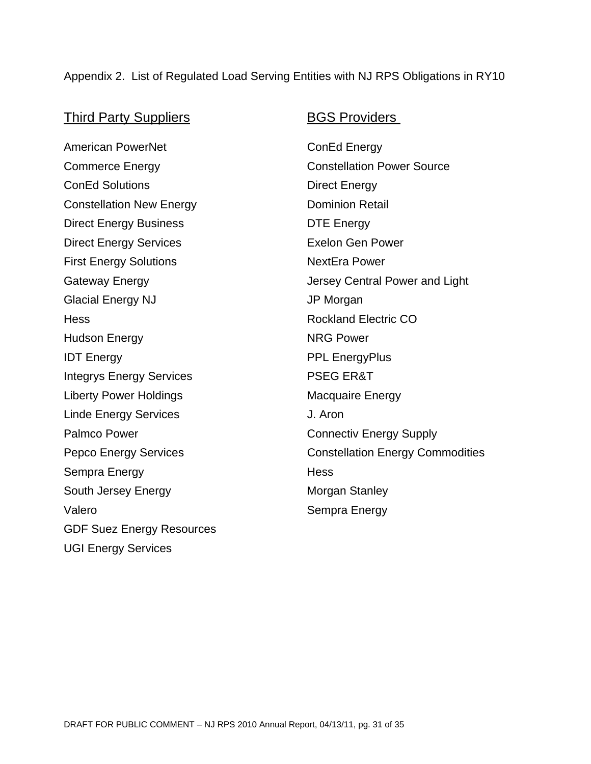#### Appendix 2. List of Regulated Load Serving Entities with NJ RPS Obligations in RY10

#### Third Party Suppliers **BGS Providers**

American PowerNet ConEd Energy Commerce Energy **Constellation Power Source** ConEd Solutions **Direct Energy** Constellation New Energy **Dominion Retail** Direct Energy Business **DTE** Energy Direct Energy Services **Exelon** Gen Power First Energy Solutions NextEra Power Glacial Energy NJ **JP Morgan** Hess Rockland Electric CO Hudson Energy NRG Power **IDT Energy PRICE EnergyPlus** Integrys Energy Services **PSEG ER&T** Liberty Power Holdings **Macquaire Energy** Linde Energy Services **J. Aron** Palmco Power Connectiv Energy Supply Sempra Energy **Hess** South Jersey Energy Morgan Stanley Valero Sempra Energy GDF Suez Energy Resources UGI Energy Services

Gateway Energy **Cateway Energy Jersey Central Power and Light** Pepco Energy Services **Constellation Energy Commodities**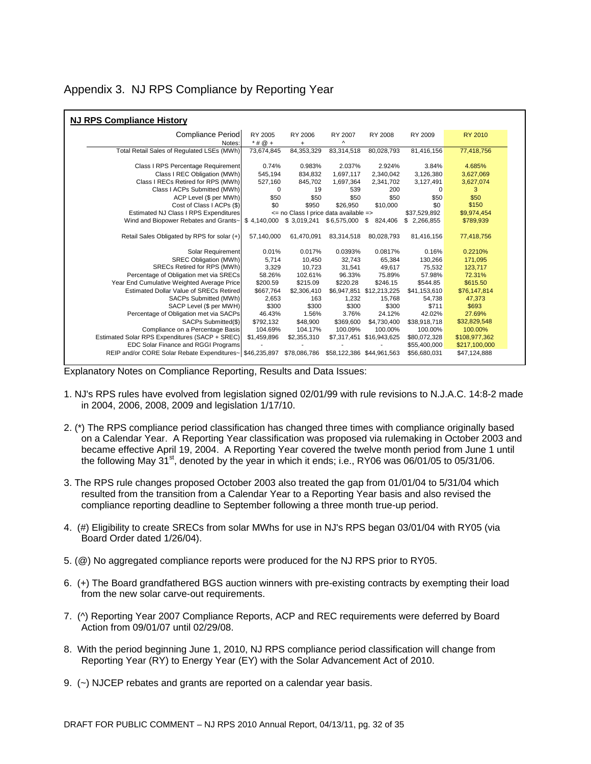|  | Appendix 3. NJ RPS Compliance by Reporting Year |
|--|-------------------------------------------------|

| <b>NJ RPS Compliance History</b>                         |                                       |              |                           |               |              |                |  |
|----------------------------------------------------------|---------------------------------------|--------------|---------------------------|---------------|--------------|----------------|--|
| Compliance Period                                        | RY 2005                               | RY 2006      | RY 2007                   | RY 2008       | RY 2009      | <b>RY 2010</b> |  |
| Notes:                                                   | $*$ # $@$ +                           | $\ddot{}$    | Λ                         |               |              |                |  |
| Total Retail Sales of Regulated LSEs (MWh)               | 73,674,845                            | 84,353,329   | 83,314,518                | 80,028,793    | 81,416,156   | 77,418,756     |  |
| Class I RPS Percentage Requirement                       | 0.74%                                 | 0.983%       | 2.037%                    | 2.924%        | 3.84%        | 4.685%         |  |
| Class I REC Obligation (MWh)                             | 545,194                               | 834.832      | 1,697,117                 | 2,340,042     | 3,126,380    | 3,627,069      |  |
| Class I RECs Retired for RPS (MWh)                       | 527,160                               | 845,702      | 1,697,364                 | 2,341,702     | 3,127,491    | 3,627,074      |  |
| Class I ACPs Submitted (MWh)                             | 0                                     | 19           | 539                       | 200           | 0            | 3              |  |
| ACP Level (\$ per MWh)                                   | \$50                                  | \$50         | \$50                      | \$50          | \$50         | \$50           |  |
| Cost of Class I ACPs (\$)                                | \$0                                   | \$950        | \$26,950                  | \$10,000      | \$0          | \$150          |  |
| Estimated NJ Class I RPS Expenditures                    | <= no Class I price data available => |              |                           |               | \$37,529,892 | \$9,974,454    |  |
| Wind and Biopower Rebates and Grants~                    | \$4,140,000                           | \$3,019,241  | \$6,575,000               | \$<br>824,406 | \$2,266,855  | \$789,939      |  |
|                                                          |                                       |              |                           |               |              |                |  |
| Retail Sales Obligated by RPS for solar (+)              | 57,140,000                            | 61,470,091   | 83,314,518                | 80,028,793    | 81,416,156   | 77,418,756     |  |
| Solar Requirement                                        | 0.01%                                 | 0.017%       | 0.0393%                   | 0.0817%       | 0.16%        | 0.2210%        |  |
| <b>SREC Obligation (MWh)</b>                             | 5,714                                 | 10,450       | 32,743                    | 65,384        | 130,266      | 171,095        |  |
| SRECs Retired for RPS (MWh)                              | 3,329                                 | 10,723       | 31,541                    | 49,617        | 75,532       | 123,717        |  |
| Percentage of Obligation met via SRECs                   | 58.26%                                | 102.61%      | 96.33%                    | 75.89%        | 57.98%       | 72.31%         |  |
| Year End Cumulative Weighted Average Price               | \$200.59                              | \$215.09     | \$220.28                  | \$246.15      | \$544.85     | \$615.50       |  |
| Estimated Dollar Value of SRECs Retired                  | \$667,764                             | \$2,306,410  | \$6,947,851               | \$12,213,225  | \$41,153,610 | \$76,147,814   |  |
| SACPs Submitted (MWh)                                    | 2,653                                 | 163          | 1,232                     | 15,768        | 54,738       | 47,373         |  |
| SACP Level (\$ per MWH)                                  | \$300                                 | \$300        | \$300                     | \$300         | \$711        | \$693          |  |
| Percentage of Obligation met via SACPs                   | 46.43%                                | 1.56%        | 3.76%                     | 24.12%        | 42.02%       | 27.69%         |  |
| SACPs Submitted(\$)                                      | \$792,132                             | \$48,900     | \$369,600                 | \$4,730,400   | \$38,918,718 | \$32,829,548   |  |
| Compliance on a Percentage Basis                         | 104.69%                               | 104.17%      | 100.09%                   | 100.00%       | 100.00%      | 100.00%        |  |
| Estimated Solar RPS Expenditures (SACP + SREC)           | \$1,459,896                           | \$2,355,310  | \$7,317,451               | \$16,943,625  | \$80,072,328 | \$108,977,362  |  |
| EDC Solar Finance and RGGI Programs                      |                                       |              |                           |               | \$55,400,000 | \$217,100,000  |  |
| REIP and/or CORE Solar Rebate Expenditures~ \$46,235,897 |                                       | \$78,086,786 | \$58,122,386 \$44,961,563 |               | \$56,680,031 | \$47,124,888   |  |

Explanatory Notes on Compliance Reporting, Results and Data Issues:

- 1. NJ's RPS rules have evolved from legislation signed 02/01/99 with rule revisions to N.J.A.C. 14:8-2 made in 2004, 2006, 2008, 2009 and legislation 1/17/10.
- 2. (\*) The RPS compliance period classification has changed three times with compliance originally based on a Calendar Year. A Reporting Year classification was proposed via rulemaking in October 2003 and became effective April 19, 2004. A Reporting Year covered the twelve month period from June 1 until the following May  $31<sup>st</sup>$ , denoted by the year in which it ends; i.e., RY06 was 06/01/05 to 05/31/06.
- 3. The RPS rule changes proposed October 2003 also treated the gap from 01/01/04 to 5/31/04 which resulted from the transition from a Calendar Year to a Reporting Year basis and also revised the compliance reporting deadline to September following a three month true-up period.
- 4. (#) Eligibility to create SRECs from solar MWhs for use in NJ's RPS began 03/01/04 with RY05 (via Board Order dated 1/26/04).
- 5. (@) No aggregated compliance reports were produced for the NJ RPS prior to RY05.
- 6. (+) The Board grandfathered BGS auction winners with pre-existing contracts by exempting their load from the new solar carve-out requirements.
- 7. (^) Reporting Year 2007 Compliance Reports, ACP and REC requirements were deferred by Board Action from 09/01/07 until 02/29/08.
- 8. With the period beginning June 1, 2010, NJ RPS compliance period classification will change from Reporting Year (RY) to Energy Year (EY) with the Solar Advancement Act of 2010.
- 9. (~) NJCEP rebates and grants are reported on a calendar year basis.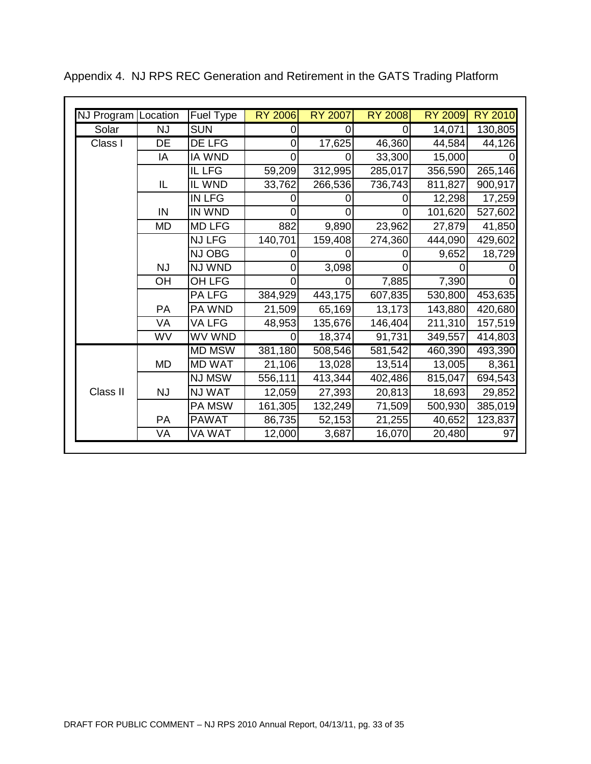| NJ Program Location |           | Fuel Type     | <b>RY 2006</b> | <b>RY 2007</b> | <b>RY 2008</b> | <b>RY 2009</b> | <b>RY 2010</b> |
|---------------------|-----------|---------------|----------------|----------------|----------------|----------------|----------------|
| Solar               | <b>NJ</b> | <b>SUN</b>    | 0              | 0              | 0              | 14,071         | 130,805        |
| Class I             | DE        | <b>DE LFG</b> | $\overline{0}$ | 17,625         | 46,360         | 44,584         | 44,126         |
|                     | IA        | <b>IA WND</b> | 0              | Ω              | 33,300         | 15,000         |                |
|                     |           | IL LFG        | 59,209         | 312,995        | 285,017        | 356,590        | 265,146        |
|                     | IL        | IL WND        | 33,762         | 266,536        | 736,743        | 811,827        | 900,917        |
|                     |           | <b>IN LFG</b> |                |                |                | 12,298         | 17,259         |
|                     | IN        | IN WND        | 0              |                | 0              | 101,620        | 527,602        |
|                     | <b>MD</b> | <b>MD LFG</b> | 882            | 9,890          | 23,962         | 27,879         | 41,850         |
|                     |           | <b>NJ LFG</b> | 140,701        | 159,408        | 274,360        | 444,090        | 429,602        |
|                     |           | NJ OBG        | 0              |                | $\Omega$       | 9,652          | 18,729         |
|                     | <b>NJ</b> | NJ WND        | $\Omega$       | 3,098          | $\Omega$       | O)             |                |
|                     | OH        | OH LFG        | 0              |                | 7,885          | 7,390          |                |
|                     |           | <b>PALFG</b>  | 384,929        | 443,175        | 607,835        | 530,800        | 453,635        |
|                     | <b>PA</b> | PA WND        | 21,509         | 65,169         | 13,173         | 143,880        | 420,680        |
|                     | <b>VA</b> | VA LFG        | 48,953         | 135,676        | 146,404        | 211,310        | 157,519        |
|                     | WV        | WV WND        | $\Omega$       | 18,374         | 91,731         | 349,557        | 414,803        |
| Class II            |           | <b>MD MSW</b> | 381,180        | 508,546        | 581,542        | 460,390        | 493,390        |
|                     | <b>MD</b> | <b>MD WAT</b> | 21,106         | 13,028         | 13,514         | 13,005         | 8,361          |
|                     |           | NJ MSW        | 556,111        | 413,344        | 402,486        | 815,047        | 694,543        |
|                     | <b>NJ</b> | NJ WAT        | 12,059         | 27,393         | 20,813         | 18,693         | 29,852         |
|                     |           | PA MSW        | 161,305        | 132,249        | 71,509         | 500,930        | 385,019        |
|                     | <b>PA</b> | <b>PAWAT</b>  | 86,735         | 52,153         | 21,255         | 40,652         | 123,837        |
|                     | VA        | VA WAT        | 12,000         | 3,687          | 16,070         | 20,480         | 97             |

Appendix 4. NJ RPS REC Generation and Retirement in the GATS Trading Platform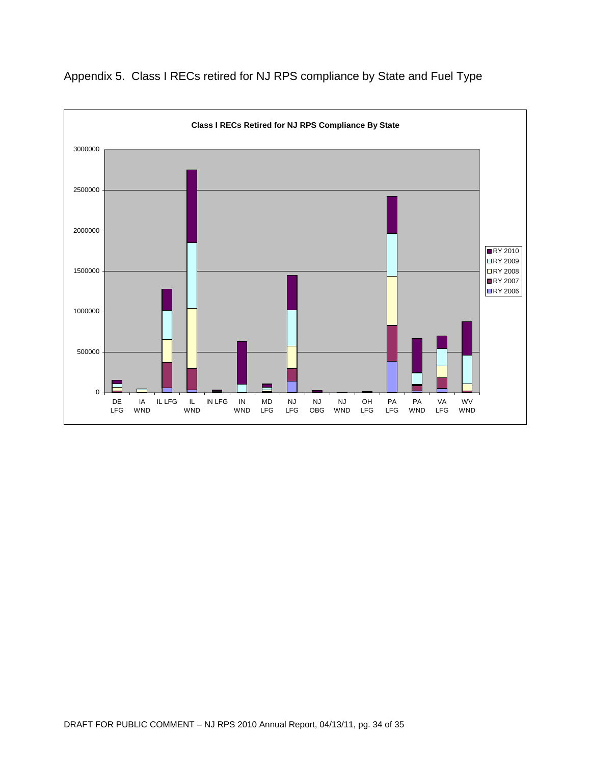

Appendix 5. Class I RECs retired for NJ RPS compliance by State and Fuel Type